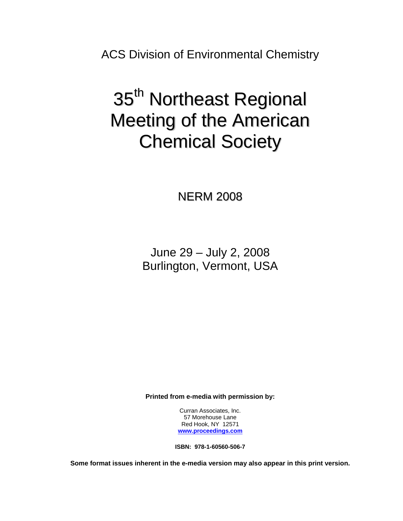ACS Division of Environmental Chemistry

# 35<sup>th</sup> Northeast Regional Meeting of the American Chemical Society

NERM 2008

June 29 – July 2, 2008 Burlington, Vermont, USA

**Printed from e-media with permission by:** 

Curran Associates, Inc. 57 Morehouse Lane Red Hook, NY 12571 **[www.proceedings.com](http://www.proceedings.com/)**

**ISBN: 978-1-60560-506-7** 

**Some format issues inherent in the e-media version may also appear in this print version.**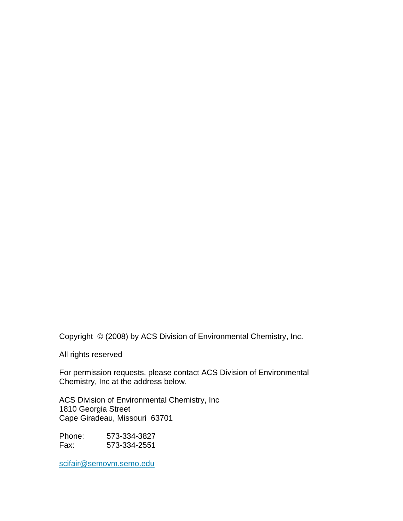Copyright © (2008) by ACS Division of Environmental Chemistry, Inc.

All rights reserved

For permission requests, please contact ACS Division of Environmental Chemistry, Inc at the address below.

ACS Division of Environmental Chemistry, Inc 1810 Georgia Street Cape Giradeau, Missouri 63701

Phone: 573-334-3827 Fax: 573-334-2551

scifair@semovm.semo.edu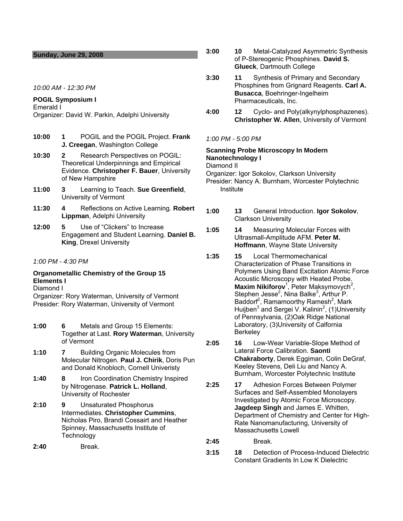## **Sunday, June 29, 2008**

*10:00 AM - 12:30 PM* 

# **POGIL Symposium I**

Emerald I Organizer: David W. Parkin, Adelphi University

- **10:00 1** POGIL and the POGIL Project. **Frank J. Creegan**, Washington College
- **10:30 2** Research Perspectives on POGIL: Theoretical Underpinnings and Empirical Evidence. **Christopher F. Bauer**, University of New Hampshire
- **11:00 3** Learning to Teach. **Sue Greenfield**, University of Vermont
- **11:30 4** Reflections on Active Learning. **Robert Lippman**, Adelphi University
- **12:00 5** Use of "Clickers" to Increase Engagement and Student Learning. **Daniel B. King**, Drexel University
- *1:00 PM 4:30 PM*

# **Organometallic Chemistry of the Group 15 Elements I**

Diamond I

Organizer: Rory Waterman, University of Vermont Presider: Rory Waterman, University of Vermont

- **1:00 6** Metals and Group 15 Elements: Together at Last. **Rory Waterman**, University of Vermont
- **1:10 7** Building Organic Molecules from Molecular Nitrogen. **Paul J. Chirik**, Doris Pun and Donald Knobloch, Cornell Univeristy
- **1:40 8** Iron Coordination Chemistry Inspired by Nitrogenase. **Patrick L. Holland**, University of Rochester
- **2:10 9** Unsaturated Phosphorus Intermediates. **Christopher Cummins**, Nicholas Piro, Brandi Cossairt and Heather Spinney, Massachusetts Institute of **Technology**

**2:40** Break.

- **3:00 10** Metal-Catalyzed Asymmetric Synthesis of P-Stereogenic Phosphines. **David S. Glueck**, Dartmouth College
- **3:30 11** Synthesis of Primary and Secondary Phosphines from Grignard Reagents. **Carl A. Busacca**, Boehringer-Ingelheim Pharmaceuticals, Inc.
- **4:00 12** Cyclo- and Poly(alkynylphosphazenes). **Christopher W. Allen**, University of Vermont

## *1:00 PM - 5:00 PM*

# **Scanning Probe Microscopy In Modern Nanotechnology I**

Diamond II

Organizer: Igor Sokolov, Clarkson University Presider: Nancy A. Burnham, Worcester Polytechnic Institute

**1:00 13** General Introduction. **Igor Sokolov**, Clarkson University

## **1:05 14** Measuring Molecular Forces with Ultrasmall-Amplitude AFM. **Peter M. Hoffmann**, Wayne State University

- **1:35 15** Local Thermomechanical Characterization of Phase Transitions in Polymers Using Band Excitation Atomic Force Acoustic Microscopy with Heated Probe. **Maxim Nikiforov**<sup>1</sup>, Peter Maksymovych<sup>2</sup>, Stephen Jesse<sup>2</sup>, Nina Balke<sup>3</sup>, Arthur P. Baddorf<sup>2</sup>, Ramamoorthy Ramesh<sup>2</sup>, Mark Huijben<sup>3</sup> and Sergei V. Kalinin<sup>2</sup>, (1)University of Pennsylvania, (2)Oak Ridge National Laboratory, (3)University of Calfornia Berkeley
- **2:05 16** Low-Wear Variable-Slope Method of Lateral Force Calibration. **Saonti Chakraborty**, Derek Eggiman, Colin DeGraf, Keeley Stevens, Deli Liu and Nancy A. Burnham, Worcester Polytechnic Institute
- **2:25 17** Adhesion Forces Between Polymer Surfaces and Self-Assembled Monolayers Investigated by Atomic Force Microscopy. **Jagdeep Singh** and James E. Whitten, Department of Chemistry and Center for High-Rate Nanomanufacturing, University of Massachusetts Lowell
- **2:45** Break.
- **3:15 18** Detection of Process-Induced Dielectric Constant Gradients In Low K Dielectric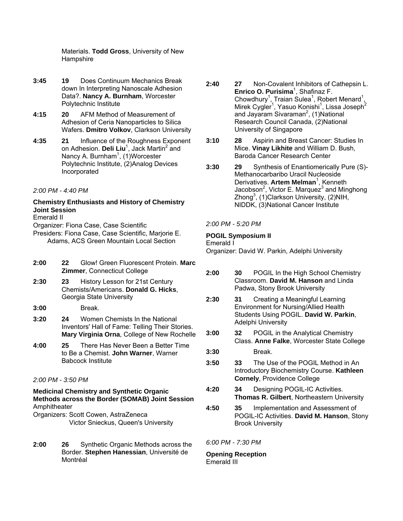Materials. **Todd Gross**, University of New **Hampshire** 

- **3:45 19** Does Continuum Mechanics Break down In Interpreting Nanoscale Adhesion Data?. **Nancy A. Burnham**, Worcester Polytechnic Institute
- **4:15 20** AFM Method of Measurement of Adhesion of Ceria Nanoparticles to Silica Wafers. **Dmitro Volkov**, Clarkson University
- **4:35 21** Influence of the Roughness Exponent on Adhesion. Deli Liu<sup>1</sup>, Jack Martin<sup>2</sup> and Nancy A. Burnham<sup>1</sup>, (1)Worcester Polytechnic Institute, (2)Analog Devices Incorporated

*2:00 PM - 4:40 PM* 

# **Chemistry Enthusiasts and History of Chemistry Joint Session**

Emerald II

- Organizer: Fiona Case, Case Scientific
- Presiders: Fiona Case, Case Scientific, Marjorie E. Adams, ACS Green Mountain Local Section
- **2:00 22** Glow! Green Fluorescent Protein. **Marc Zimmer**, Connecticut College
- **2:30 23** History Lesson for 21st Century Chemists/Americans. **Donald G. Hicks**, Georgia State University
- **3:00** Break.
- **3:20 24** Women Chemists In the National Inventors' Hall of Fame: Telling Their Stories. **Mary Virginia Orna**, College of New Rochelle
- **4:00 25** There Has Never Been a Better Time to Be a Chemist. **John Warner**, Warner Babcock Institute
- *2:00 PM 3:50 PM*

## **Medicinal Chemistry and Synthetic Organic Methods across the Border (SOMAB) Joint Session Amphitheater**

Organizers: Scott Cowen, AstraZeneca Victor Snieckus, Queen's University

**2:00 26** Synthetic Organic Methods across the Border. **Stephen Hanessian**, Université de Montréal

- **2:40 27** Non-Covalent Inhibitors of Cathepsin L. **Enrico O. Purisima**<sup>1</sup>, Shafinaz F. Chowdhury<sup>1</sup>, Traian Sulea<sup>1</sup>, Robert Menard<sup>1</sup>, Mirek Cygler<sup>1</sup>, Yasuo Konishi<sup>1</sup>, Lissa Joseph<sup>2</sup> and Jayaram Sivaraman<sup>2</sup>, (1)National Research Council Canada, (2)National University of Singapore
- **3:10 28** Aspirin and Breast Cancer: Studies In Mice. **Vinay Likhite** and William D. Bush, Baroda Cancer Research Center
- **3:30 29** Synthesis of Enantiomerically Pure (S)- Methanocarbaribo Uracil Nucleoside Derivatives. **Artem Melman**<sup>1</sup>, Kenneth Jacobson<sup>2</sup>, Victor E. Marquez<sup>3</sup> and Minghong  $Z$ hong $^3$ , (1)Clarkson University, (2)NIH, NIDDK, (3)National Cancer Institute

# *2:00 PM - 5:20 PM*

# **POGIL Symposium II**

Emerald I

Organizer: David W. Parkin, Adelphi University

- **2:00 30** POGIL In the High School Chemistry Classroom. **David M. Hanson** and Linda Padwa, Stony Brook University
- **2:30 31** Creating a Meaningful Learning Environment for Nursing/Allied Health Students Using POGIL. **David W. Parkin**, Adelphi University
- **3:00 32** POGIL in the Analytical Chemistry Class. **Anne Falke**, Worcester State College
- **3:30** Break.
- **3:50 33** The Use of the POGIL Method in An Introductory Biochemistry Course. **Kathleen Cornely**, Providence College
- **4:20 34** Designing POGIL-IC Activities. **Thomas R. Gilbert**, Northeastern University
- **4:50 35** Implementation and Assessment of POGIL-IC Activities. **David M. Hanson**, Stony Brook University

# *6:00 PM - 7:30 PM*

## **Opening Reception**  Emerald III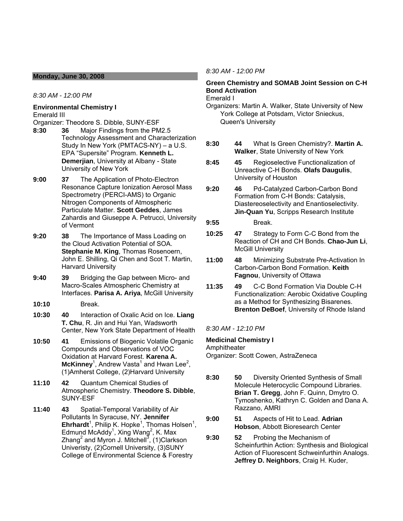## **Monday, June 30, 2008**

*8:30 AM - 12:00 PM* 

## **Environmental Chemistry I**  Emerald III

Organizer: Theodore S. Dibble, SUNY-ESF

- **8:30 36** Major Findings from the PM2.5 Technology Assessment and Characterization Study In New York (PMTACS-NY) – a U.S. EPA "Supersite" Program. **Kenneth L. Demerjian**, University at Albany - State University of New York
- **9:00 37** The Application of Photo-Electron Resonance Capture Ionization Aerosol Mass Spectrometry (PERCI-AMS) to Organic Nitrogen Components of Atmospheric Particulate Matter. **Scott Geddes**, James Zahardis and Giuseppe A. Petrucci, University of Vermont
- **9:20 38** The Importance of Mass Loading on the Cloud Activation Potential of SOA. **Stephanie M. King**, Thomas Rosenoern, John E. Shilling, Qi Chen and Scot T. Martin, Harvard University
- **9:40 39** Bridging the Gap between Micro- and Macro-Scales Atmospheric Chemistry at Interfaces. **Parisa A. Ariya**, McGill University
- **10:10** Break.
- **10:30 40** Interaction of Oxalic Acid on Ice. **Liang T. Chu**, R. Jin and Hui Yan, Wadsworth Center, New York State Department of Health
- **10:50 41** Emissions of Biogenic Volatile Organic Compounds and Observations of VOC Oxidation at Harvard Forest. **Karena A.**   $McKinney<sup>1</sup>$ , Andrew Vasta<sup>1</sup> and Hwan Lee<sup>2</sup>, (1)Amherst College, (2)Harvard University
- **11:10 42** Quantum Chemical Studies of Atmospheric Chemistry. **Theodore S. Dibble**, SUNY-ESF
- **11:40 43** Spatial-Temporal Variability of Air Pollutants In Syracuse, NY. **Jennifer**   $\mathsf{Ehrhardt}^1$ , Philip K. Hopke<sup>1</sup>, Thomas Holsen<sup>1</sup>, Edmund McAddy<sup>1</sup>, Xing Wang<sup>2</sup>, K. Max Zhang<sup>2</sup> and Myron J. Mitchell<sup>3</sup>, (1)Clarkson Univeristy, (2)Cornell University, (3)SUNY College of Environmental Science & Forestry

## *8:30 AM - 12:00 PM*

# **Green Chemistry and SOMAB Joint Session on C-H Bond Activation**

Emerald I

- Organizers: Martin A. Walker, State University of New York College at Potsdam, Victor Snieckus, Queen's University
- **8:30 44** What Is Green Chemistry?. **Martin A. Walker**, State University of New York
- **8:45 45** Regioselective Functionalization of Unreactive C-H Bonds. **Olafs Daugulis**, University of Houston
- **9:20 46** Pd-Catalyzed Carbon-Carbon Bond Formation from C-H Bonds: Catalysis, Diastereoselectivity and Enantioselectivity. **Jin-Quan Yu**, Scripps Research Institute

**9:55** Break.

- **10:25 47** Strategy to Form C-C Bond from the Reaction of CH and CH Bonds. **Chao-Jun Li**, McGill University
- **11:00 48** Minimizing Substrate Pre-Activation In Carbon-Carbon Bond Formation. **Keith Fagnou**, University of Ottawa
- **11:35 49** C-C Bond Formation Via Double C-H Functionalization: Aerobic Oxidative Coupling as a Method for Synthesizing Bisarenes. **Brenton DeBoef**, University of Rhode Island

*8:30 AM - 12:10 PM* 

# **Medicinal Chemistry I**

Amphitheater Organizer: Scott Cowen, AstraZeneca

- **8:30 50** Diversity Oriented Synthesis of Small Molecule Heterocyclic Compound Libraries. **Brian T. Gregg**, John F. Quinn, Dmytro O. Tymoshenko, Kathryn C. Golden and Dana A. Razzano, AMRI
- **9:00 51** Aspects of Hit to Lead. **Adrian Hobson**, Abbott Bioresearch Center
- **9:30 52** Probing the Mechanism of Scheinfurthin Action: Synthesis and Biological Action of Fluorescent Schweinfurthin Analogs. **Jeffrey D. Neighbors**, Craig H. Kuder,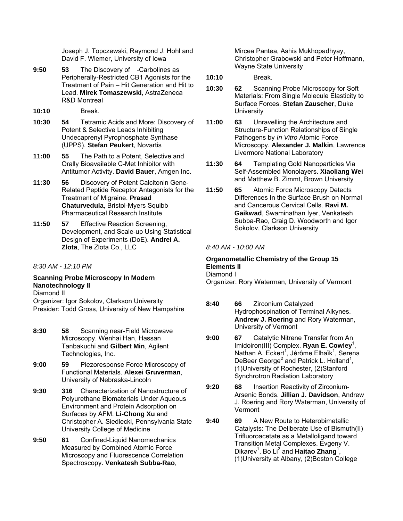Joseph J. Topczewski, Raymond J. Hohl and David F. Wiemer, University of Iowa

- **9:50 53** The Discovery of -Carbolines as Peripherally-Restricted CB1 Agonists for the Treatment of Pain – Hit Generation and Hit to Lead. **Mirek Tomaszewski**, AstraZeneca R&D Montreal
- **10:10** Break.
- **10:30 54** Tetramic Acids and More: Discovery of Potent & Selective Leads Inhibiting Undecaprenyl Pyrophosphate Synthase (UPPS). **Stefan Peukert**, Novartis
- **11:00 55** The Path to a Potent, Selective and Orally Bioavailable C-Met Inhibitor with Antitumor Activity. **David Bauer**, Amgen Inc.
- **11:30 56** Discovery of Potent Calcitonin Gene-Related Peptide Receptor Antagonists for the Treatment of Migraine. **Prasad Chaturvedula**, Bristol-Myers Squibb Pharmaceutical Research Institute
- **11:50 57** Effective Reaction Screening, Development, and Scale-up Using Statistical Design of Experiments (DoE). **Andrei A. Zlota**, The Zlota Co., LLC
- *8:30 AM 12:10 PM*

# **Scanning Probe Microscopy In Modern Nanotechnology II**

Diamond II

Organizer: Igor Sokolov, Clarkson University Presider: Todd Gross, University of New Hampshire

- **8:30 58** Scanning near-Field Microwave Microscopy. Wenhai Han, Hassan Tanbakuchi and **Gilbert Min**, Agilent Technologies, Inc.
- **9:00 59** Piezoresponse Force Microscopy of Functional Materials. **Alexei Gruverman**, University of Nebraska-Lincoln
- **9:30 316** Characterization of Nanostructure of Polyurethane Biomaterials Under Aqueous Environment and Protein Adsorption on Surfaces by AFM. **Li-Chong Xu** and Christopher A. Siedlecki, Pennsylvania State University College of Medicine
- **9:50 61** Confined-Liquid Nanomechanics Measured by Combined Atomic Force Microscopy and Fluorescence Correlation Spectroscopy. **Venkatesh Subba-Rao**,

Mircea Pantea, Ashis Mukhopadhyay, Christopher Grabowski and Peter Hoffmann, Wayne State University

- **10:10** Break.
- **10:30 62** Scanning Probe Microscopy for Soft Materials: From Single Molecule Elasticity to Surface Forces. **Stefan Zauscher**, Duke **University**
- **11:00 63** Unravelling the Architecture and Structure-Function Relationships of Single Pathogens by *In Vitro* Atomic Force Microscopy. **Alexander J. Malkin**, Lawrence Livermore National Laboratory
- **11:30 64** Templating Gold Nanoparticles Via Self-Assembled Monolayers. **Xiaoliang Wei** and Matthew B. Zimmt, Brown University
- **11:50 65** Atomic Force Microscopy Detects Differences In the Surface Brush on Normal and Cancerous Cervical Cells. **Ravi M. Gaikwad**, Swaminathan Iyer, Venkatesh Subba-Rao, Craig D. Woodworth and Igor Sokolov, Clarkson University

# *8:40 AM - 10:00 AM*

# **Organometallic Chemistry of the Group 15 Elements II**

Diamond I

Organizer: Rory Waterman, University of Vermont

- **8:40 66** Zirconium Catalyzed Hydrophospination of Terminal Alkynes. **Andrew J. Roering** and Rory Waterman, University of Vermont
- **9:00 67** Catalytic Nitrene Transfer from An Imidoiron(III) Complex. Ryan E. Cowley<sup>1</sup>, Nathan A. Eckert<sup>1</sup>, Jérôme Elhaïk<sup>1</sup>, Serena DeBeer George<sup>2</sup> and Patrick L. Holland<sup>1</sup>, (1)University of Rochester, (2)Stanford Synchrotron Radiation Laboratory
- **9:20 68** Insertion Reactivity of Zirconium-Arsenic Bonds. **Jillian J. Davidson**, Andrew J. Roering and Rory Waterman, University of Vermont
- **9:40 69** A New Route to Heterobimetallic Catalysts: The Deliberate Use of Bismuth(II) Trifluoroacetate as a Metalloligand toward Transition Metal Complexes. Evgeny V. Dikarev<sup>1</sup>, Bo Li<sup>2</sup> and **Haitao Zhang**<sup>1</sup>, (1)University at Albany, (2)Boston College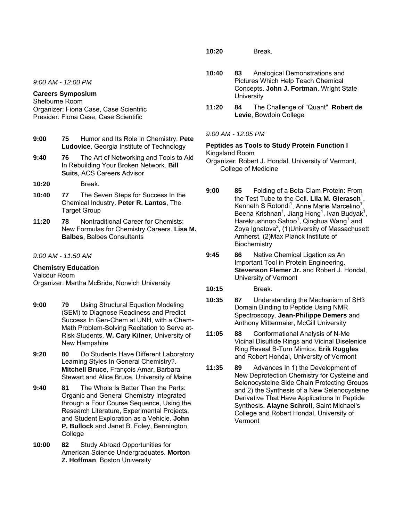*9:00 AM - 12:00 PM* 

## **Careers Symposium**

Shelburne Room Organizer: Fiona Case, Case Scientific Presider: Fiona Case, Case Scientific

- **9:00 75** Humor and Its Role In Chemistry. **Pete Ludovice**, Georgia Institute of Technology
- **9:40 76** The Art of Networking and Tools to Aid In Rebuilding Your Broken Network. **Bill Suits**, ACS Careers Advisor
- **10:20** Break.
- **10:40 77** The Seven Steps for Success In the Chemical Industry. **Peter R. Lantos**, The Target Group
- **11:20 78** Nontraditional Career for Chemists: New Formulas for Chemistry Careers. **Lisa M. Balbes**, Balbes Consultants

## *9:00 AM - 11:50 AM*

# **Chemistry Education**

Valcour Room Organizer: Martha McBride, Norwich University

- **9:00 79** Using Structural Equation Modeling (SEM) to Diagnose Readiness and Predict Success In Gen-Chem at UNH, with a Chem-Math Problem-Solving Recitation to Serve at-Risk Students. **W. Cary Kilner**, University of New Hampshire
- **9:20 80** Do Students Have Different Laboratory Learning Styles In General Chemistry?. **Mitchell Bruce**, François Amar, Barbara Stewart and Alice Bruce, University of Maine
- **9:40 81** The Whole Is Better Than the Parts: Organic and General Chemistry Integrated through a Four Course Sequence, Using the Research Literature, Experimental Projects, and Student Exploration as a Vehicle. **John P. Bullock** and Janet B. Foley, Bennington College
- **10:00 82** Study Abroad Opportunities for American Science Undergraduates. **Morton Z. Hoffman**, Boston University

**10:20** Break.

- **10:40 83** Analogical Demonstrations and Pictures Which Help Teach Chemical Concepts. **John J. Fortman**, Wright State **University**
- **11:20 84** The Challenge of "Quant". **Robert de Levie**, Bowdoin College

## *9:00 AM - 12:05 PM*

#### **Peptides as Tools to Study Protein Function I**  Kingsland Room

- Organizer: Robert J. Hondal, University of Vermont, College of Medicine
- **9:00 85** Folding of a Beta-Clam Protein: From the Test Tube to the Cell. Lila M. Gierasch<sup>1</sup>, Kenneth S Rotondi<sup>1</sup>, Anne Marie Marcelino<sup>1</sup>, Beena Krishnan<sup>1</sup>, Jiang Hong<sup>1</sup>, Ivan Budyak<sup>1</sup>, Harekrushnoo Sahoo<sup>1</sup>, Qinghua Wang<sup>1</sup> and Zoya Ignatova<sup>2</sup>, (1)University of Massachusett Amherst, (2)Max Planck Institute of **Biochemistry**
- **9:45 86** Native Chemical Ligation as An Important Tool in Protein Engineering. **Stevenson Flemer Jr.** and Robert J. Hondal, University of Vermont
- **10:15** Break.
- **10:35 87** Understanding the Mechanism of SH3 Domain Binding to Peptide Using NMR Spectroscopy. **Jean-Philippe Demers** and Anthony Mittermaier, McGill University
- **11:05 88** Conformational Analysis of N-Me Vicinal Disulfide Rings and Vicinal Diselenide Ring Reveal B-Turn Mimics. **Erik Ruggles** and Robert Hondal, University of Vermont
- **11:35 89** Advances In 1) the Development of New Deprotection Chemistry for Cysteine and Selenocysteine Side Chain Protecting Groups and 2) the Synthesis of a New Selenocysteine Derivative That Have Applications In Peptide Synthesis. **Alayne Schroll**, Saint Michael's College and Robert Hondal, University of Vermont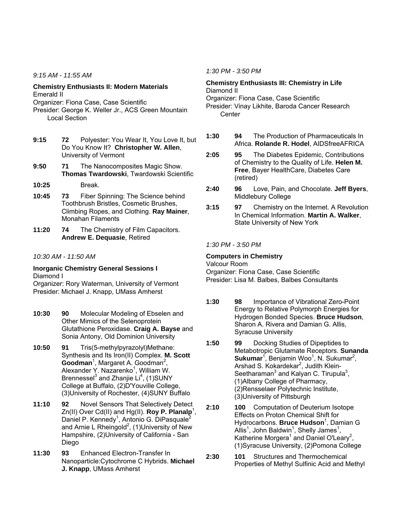*9:15 AM - 11:55 AM* 

## **Chemistry Enthusiasts II: Modern Materials**  Emerald II

Organizer: Fiona Case, Case Scientific

- Presider: George K. Weller Jr., ACS Green Mountain Local Section
- **9:15 72** Polyester: You Wear It, You Love It, but Do You Know It? **Christopher W. Allen**, University of Vermont
- **9:50 71** The Nanocomposites Magic Show. **Thomas Twardowski**, Twardowski Scientific
- **10:25** Break.
- **10:45 73** Fiber Spinning: The Science behind Toothbrush Bristles, Cosmetic Brushes, Climbing Ropes, and Clothing. **Ray Mainer**, Monahan Filaments
- **11:20 74** The Chemistry of Film Capacitors. **Andrew E. Dequasie**, Retired

# *10:30 AM - 11:50 AM*

## **Inorganic Chemistry General Sessions I**  Diamond I

Organizer: Rory Waterman, University of Vermont Presider: Michael J. Knapp, UMass Amherst

- **10:30 90** Molecular Modeling of Ebselen and Other Mimics of the Selenoprotein Glutathione Peroxidase. **Craig A. Bayse** and Sonia Antony, Old Dominion University
- **10:50 91** Tris(5-methylpyrazolyl)Methane: Synthesis and Its Iron(II) Complex. **M. Scott**  Goodman<sup>1</sup>, Margaret A. Goodman<sup>2</sup>, Alexander Y. Nazarenko<sup>1</sup>, William W. Brennessel $3$  and Zhanjie Li<sup>4</sup>, (1)SUNY College at Buffalo, (2)D'Youville College, (3)University of Rochester, (4)SUNY Buffalo
- **11:10 92** Novel Sensors That Selectively Detect Zn(II) Over Cd(II) and Hg(II). **Roy P. Planalp**<sup>1</sup>, Daniel P. Kennedy<sup>1</sup>, Antonio G. DiPasquale<sup>2</sup> and Arnie L Rheingold<sup>2</sup>, (1) University of New Hampshire, (2)University of California - San Diego
- **11:30 93** Enhanced Electron-Transfer In Nanoparticle:Cytochrome C Hybrids. **Michael J. Knapp**, UMass Amherst

## *1:30 PM - 3:50 PM*

**Chemistry Enthusiasts III: Chemistry in Life**  Diamond II Organizer: Fiona Case, Case Scientific Presider: Vinay Likhite, Baroda Cancer Research **Center** 

- **1:30 94** The Production of Pharmaceuticals In Africa. **Rolande R. Hodel**, AIDSfreeAFRICA
- **2:05 95** The Diabetes Epidemic, Contributions of Chemistry to the Quality of Life. **Helen M. Free**, Bayer HealthCare, Diabetes Care (retired)
- **2:40 96** Love, Pain, and Chocolate. **Jeff Byers**, Middlebury College
- **3:15 97** Chemistry on the Internet. A Revolution In Chemical Information. **Martin A. Walker**, State University of New York

# *1:30 PM - 3:50 PM*

## **Computers in Chemistry**

Valcour Room Organizer: Fiona Case, Case Scientific Presider: Lisa M. Balbes, Balbes Consultants

- **1:30 98** Importance of Vibrational Zero-Point Energy to Relative Polymorph Energies for Hydrogen Bonded Species. **Bruce Hudson**, Sharon A. Rivera and Damian G. Allis, Syracuse University
- **1:50 99** Docking Studies of Dipeptides to Metabotropic Glutamate Receptors. **Sunanda Sukumar**<sup>1</sup>, Benjamin Woo<sup>1</sup>, N. Sukumar<sup>2</sup>, Arshad S. Kokardekar<sup>2</sup>, Judith Klein-Seetharaman $3$  and Kalyan C. Tirupula $3$ , (1)Albany College of Pharmacy, (2)Rensselaer Polytechnic Institute, (3)University of Pittsburgh
- **2:10 100** Computation of Deuterium Isotope Effects on Proton Chemical Shift for Hydrocarbons. **Bruce Hudson**<sup>1</sup>, Damian G Allis<sup>1</sup>, John Baldwin<sup>1</sup>, Shelly James<sup>1</sup>, Katherine Morgera<sup>1</sup> and Daniel O'Leary<sup>2</sup>, (1)Syracuse University, (2)Pomona College

**2:30 101** Structures and Thermochemical Properties of Methyl Sulfinic Acid and Methyl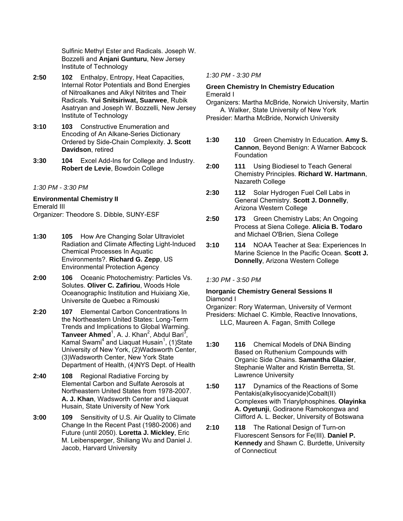Sulfinic Methyl Ester and Radicals. Joseph W. Bozzelli and **Anjani Gunturu**, New Jersey Institute of Technology

- **2:50 102** Enthalpy, Entropy, Heat Capacities, Internal Rotor Potentials and Bond Energies of Nitroalkanes and Alkyl Nitrites and Their Radicals. **Yui Snitsiriwat, Suarwee**, Rubik Asatryan and Joseph W. Bozzelli, New Jersey Institute of Technology
- **3:10 103** Constructive Enumeration and Encoding of An Alkane-Series Dictionary Ordered by Side-Chain Complexity. **J. Scott Davidson**, retired
- **3:30 104** Excel Add-Ins for College and Industry. **Robert de Levie**, Bowdoin College

## *1:30 PM - 3:30 PM*

**Environmental Chemistry II**  Emerald III Organizer: Theodore S. Dibble, SUNY-ESF

- **1:30 105** How Are Changing Solar Ultraviolet Radiation and Climate Affecting Light-Induced Chemical Processes In Aquatic Environments?. **Richard G. Zepp**, US Environmental Protection Agency
- **2:00 106** Oceanic Photochemistry: Particles Vs. Solutes. **Oliver C. Zafiriou**, Woods Hole Oceanographic Institution and Huixiang Xie, Universite de Quebec a Rimouski
- **2:20 107** Elemental Carbon Concentrations In the Northeastern United States: Long-Term Trends and Implications to Global Warming. Tanveer Ahmed<sup>1</sup>, A. J. Khan<sup>2</sup>, Abdul Bari<sup>3</sup>, Kamal Swami<sup>4</sup> and Liaquat Husain<sup>1</sup>, (1)State University of New York, (2)Wadsworth Center, (3)Wadsworth Center, New York State Department of Health, (4)NYS Dept. of Health
- **2:40 108** Regional Radiative Forcing by Elemental Carbon and Sulfate Aerosols at Northeastern United States from 1978-2007. **A. J. Khan**, Wadsworth Center and Liaquat Husain, State University of New York
- **3:00 109** Sensitivity of U.S. Air Quality to Climate Change In the Recent Past (1980-2006) and Future (until 2050). **Loretta J. Mickley**, Eric M. Leibensperger, Shiliang Wu and Daniel J. Jacob, Harvard University

## *1:30 PM - 3:30 PM*

## **Green Chemistry In Chemistry Education**  Emerald I

Organizers: Martha McBride, Norwich University, Martin A. Walker, State University of New York

Presider: Martha McBride, Norwich University

- **1:30 110** Green Chemistry In Education. **Amy S. Cannon**, Beyond Benign: A Warner Babcock Foundation
- **2:00 111** Using Biodiesel to Teach General Chemistry Principles. **Richard W. Hartmann**, Nazareth College
- **2:30 112** Solar Hydrogen Fuel Cell Labs in General Chemistry. **Scott J. Donnelly**, Arizona Western College
- **2:50 173** Green Chemistry Labs; An Ongoing Process at Siena College. **Alicia B. Todaro** and Michael O'Brien, Siena College
- **3:10 114** NOAA Teacher at Sea: Experiences In Marine Science In the Pacific Ocean. **Scott J. Donnelly**, Arizona Western College

# *1:30 PM - 3:50 PM*

## **Inorganic Chemistry General Sessions II**  Diamond I

Organizer: Rory Waterman, University of Vermont Presiders: Michael C. Kimble, Reactive Innovations, LLC, Maureen A. Fagan, Smith College

- **1:30 116** Chemical Models of DNA Binding Based on Ruthenium Compounds with Organic Side Chains. **Samantha Glazier**, Stephanie Walter and Kristin Berretta, St. Lawrence University
- **1:50 117** Dynamics of the Reactions of Some Pentakis(alkylisocyanide)Cobalt(II) Complexes with Triarylphosphines. **Olayinka A. Oyetunji**, Godiraone Ramokongwa and Clifford A. L. Becker, University of Botswana
- **2:10 118** The Rational Design of Turn-on Fluorescent Sensors for Fe(III). **Daniel P. Kennedy** and Shawn C. Burdette, University of Connecticut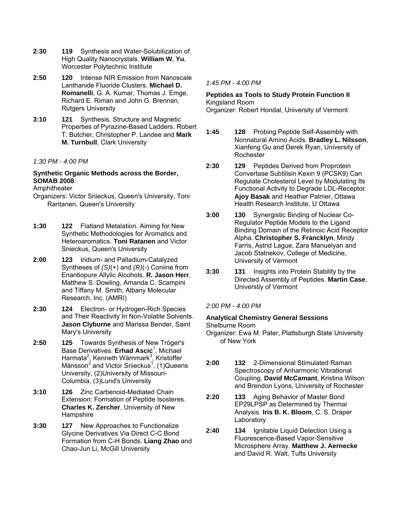- **2:30 119** Synthesis and Water-Solubilization of High Quality Nanocrystals. **William W. Yu**, Worcester Polytechnic Institute
- **2:50 120** Intense NIR Emission from Nanoscale Lanthanide Fluoride Clusters. **Michael D. Romanelli**, G. A. Kumar, Thomas J. Emge, Richard E. Riman and John G. Brennan, Rutgers University
- **3:10 121** Synthesis, Structure and Magnetic Properties of Pyrazine-Based Ladders. Robert T. Butcher, Christopher P. Landee and **Mark M. Turnbull**, Clark University

## *1:30 PM - 4:00 PM*

# **Synthetic Organic Methods across the Border, SOMAB 2008**

Amphitheater

- Organizers: Victor Snieckus, Queen's University, Toni Rantanen, Queen's University
- **1:30 122** Flatland Metalation. Aiming for New Synthetic Methodologies for Aromatics and Heteroaromatics. **Toni Ratanen** and Victor Snieckus, Queen's University
- **2:00 123** Iridium- and Palladium-Catalyzed Syntheses of *(S)*(+) and *(R)*(-) Coniine from Enantiopure Allylic Alcohols. **R. Jason Herr**, Matthew S. Dowling, Amanda C. Scampini and Tiffany M. Smith, Albany Molecular Research, Inc. (AMRI)
- **2:30 124** Electron- or Hydrogen-Rich Species and Their Reactivity In Non-Volatile Solvents. **Jason Clyburne** and Marissa Bender, Saint Mary's University
- **2:50 125** Towards Synthesis of New Tröger's Base Derivatives. Erhad Ascic<sup>1</sup>, Michael Harmata<sup>2</sup>, Kenneth Wärnmark<sup>3</sup>, Kristoffer Månsson<sup>3</sup> and Victor Snieckus<sup>1</sup>, (1)Queens University, (2)University of Missouri-Columbia, (3)Lund's University
- **3:10 126** Zinc Carbenoid-Mediated Chain Extension: Formation of Peptide Isosteres. **Charles K. Zercher**, University of New **Hampshire**
- **3:30 127** New Approaches to Functionalize Glycine Derivatives Via Direct C-C Bond Formation from C-H Bonds. **Liang Zhao** and Chao-Jun Li, McGill University

*1:45 PM - 4:00 PM* 

# **Peptides as Tools to Study Protein Function II**  Kingsland Room

Organizer: Robert Hondal, University of Vermont

- **1:45 128** Probing Peptide Self-Assembly with Nonnatural Amino Acids. **Bradley L. Nilsson**, Xianfeng Gu and Derek Ryan, University of Rochester
- **2:30 129** Peptides Derived from Proprotein Convertase Subtilisin Kexin 9 (PCSK9) Can Regulate Cholesterol Level by Modulating Its Functional Activity to Degrade LDL-Receptor. **Ajoy Basak** and Heather Palmer, Ottawa Health Research Institute, U Ottawa
- **3:00 130** Synergistic Binding of Nuclear Co-Regulator Peptide Models to the Ligand Binding Domain of the Retinoic Acid Receptor Alpha. **Christopher S. Francklyn**, Mindy Farris, Astrid Lague, Zara Manuelyan and Jacob Statnekov, College of Medicine, University of Vermont
- **3:30 131** Insights into Protein Stability by the Directed Assembly of Peptides. **Martin Case**, Universtiy of Vermont

# *2:00 PM - 4:00 PM*

# **Analytical Chemistry General Sessions**

Shelburne Room

- Organizer: Ewa M. Pater, Plattsburgh State University of New York
- **2:00 132** 2-Dimensional Stimulated Raman Spectroscopy of Anharmonic Vibrational Coupling. **David McCamant**, Kristina Wilson and Brendon Lyons, University of Rochester
- **2:20 133** Aging Behavior of Master Bond EP29LPSP as Determined by Thermal Analysis. **Iris B. K. Bloom**, C. S. Draper Laboratory
- **2:40 134** Ignitable Liquid Detection Using a Fluorescence-Based Vapor-Sensitive Microsphere Array. **Matthew J. Aernecke** and David R. Walt, Tufts University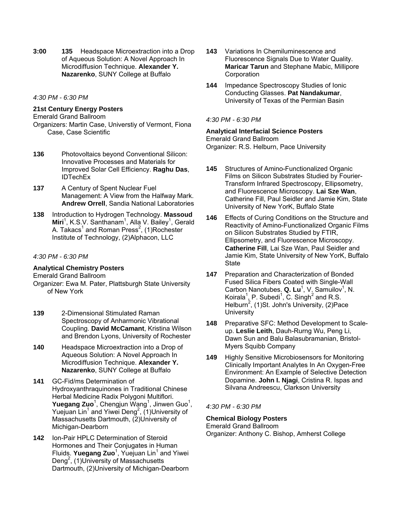**3:00 135** Headspace Microextraction into a Drop of Aqueous Solution: A Novel Approach In Microdiffusion Technique. **Alexander Y. Nazarenko**, SUNY College at Buffalo

*4:30 PM - 6:30 PM* 

# **21st Century Energy Posters**

#### Emerald Grand Ballroom

Organizers: Martin Case, Universtiy of Vermont, Fiona Case, Case Scientific

- **136** Photovoltaics beyond Conventional Silicon: Innovative Processes and Materials for Improved Solar Cell Efficiency. **Raghu Das**, IDTechEx
- **137** A Century of Spent Nuclear Fuel Management: A View from the Halfway Mark. **Andrew Orrell**, Sandia National Laboratories
- **138** Introduction to Hydrogen Technology. **Massoud**  Miri<sup>1</sup>, K.S.V. Santhanam<sup>1</sup>, Alla V. Bailey<sup>1</sup>, Gerald A. Takacs<sup>1</sup> and Roman Press<sup>2</sup>, (1)Rochester Institute of Technology, (2)Alphacon, LLC

## *4:30 PM - 6:30 PM*

## **Analytical Chemistry Posters**

Emerald Grand Ballroom Organizer: Ewa M. Pater, Plattsburgh State University of New York

- **139** 2-Dimensional Stimulated Raman Spectroscopy of Anharmonic Vibrational Coupling. **David McCamant**, Kristina Wilson and Brendon Lyons, University of Rochester
- **140** Headspace Microextraction into a Drop of Aqueous Solution: A Novel Approach In Microdiffusion Technique. **Alexander Y. Nazarenko**, SUNY College at Buffalo
- **141** GC-Fid/ms Determination of Hydroxyanthraquinones in Traditional Chinese Herbal Medicine Radix Polygoni Multiflori. **Yuegang Zuo**<sup>1</sup>, Chengjun Wang<sup>1</sup>, Jinwen Guo<sup>1</sup>, Yuejuan  $\text{Lin}^1$  and Yiwei Deng<sup>2</sup>, (1) University of Massachusetts Dartmouth, (2)University of Michigan-Dearborn
- **142** Ion-Pair HPLC Determination of Steroid Hormones and Their Conjugates in Human Fluids. Yuegang Zuo<sup>1</sup>, Yuejuan Lin<sup>1</sup> and Yiwei Deng<sup>2</sup>, (1)University of Massachusetts Dartmouth, (2)University of Michigan-Dearborn
- **143** Variations In Chemiluminescence and Fluorescence Signals Due to Water Quality. **Maricar Tarun** and Stephane Mabic, Millipore **Corporation**
- **144** Impedance Spectroscopy Studies of Ionic Conducting Glasses. **Pat Nandakumar**, University of Texas of the Permian Basin

## *4:30 PM - 6:30 PM*

# **Analytical Interfacial Science Posters**  Emerald Grand Ballroom

Organizer: R.S. Helburn, Pace University

- **145** Structures of Amino-Functionalized Organic Films on Silicon Substrates Studied by Fourier-Transform Infrared Spectroscopy, Ellipsometry, and Fluorescence Microscopy. **Lai Sze Wan**, Catherine Fill, Paul Seidler and Jamie Kim, State University of New YorK, Buffalo State
- **146** Effects of Curing Conditions on the Structure and Reactivity of Amino-Functionalized Organic Films on Silicon Substrates Studied by FTIR, Ellipsometry, and Fluorescence Microscopy. **Catherine Fill**, Lai Sze Wan, Paul Seidler and Jamie Kim, State University of New YorK, Buffalo **State**
- **147** Preparation and Characterization of Bonded Fused Silica Fibers Coated with Single-Wall Carbon Nanotubes. Q. Lu<sup>1</sup>, V. Samuilov<sup>1</sup>, N. Koirala<sup>1</sup>, P. Subedi<sup>1</sup>, C. Singh<sup>2</sup> and R.S. Helburn<sup>2</sup>, (1)St. John's University, (2)Pace **University**
- **148** Preparative SFC: Method Development to Scaleup. **Leslie Leith**, Dauh-Rurng Wu, Peng Li, Dawn Sun and Balu Balasubramanian, Bristol-Myers Squibb Company
- **149** Highly Sensitive Microbiosensors for Monitoring Clinically Important Analytes In An Oxygen-Free Environment: An Example of Selective Detection Dopamine. **John I. Njagi**, Cristina R. Ispas and Silvana Andreescu, Clarkson University

# *4:30 PM - 6:30 PM*

## **Chemical Biology Posters**

Emerald Grand Ballroom Organizer: Anthony C. Bishop, Amherst College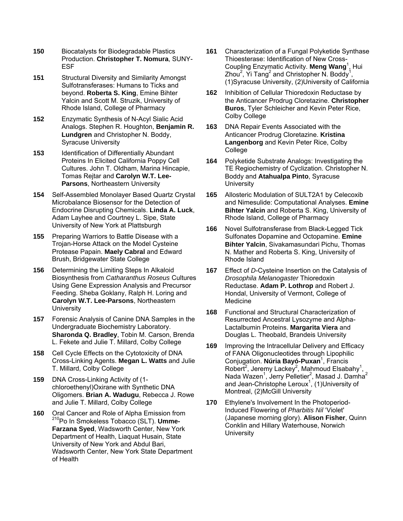- **150** Biocatalysts for Biodegradable Plastics Production. **Christopher T. Nomura**, SUNY-ESF
- **151** Structural Diversity and Similarity Amongst Sulfotransferases: Humans to Ticks and beyond. **Roberta S. King**, Emine Bihter Yalcin and Scott M. Struzik, University of Rhode Island, College of Pharmacy
- **152** Enzymatic Synthesis of N-Acyl Sialic Acid Analogs. Stephen R. Houghton, **Benjamin R. Lundgren** and Christopher N. Boddy, Syracuse University
- **153** Identification of Differentially Abundant Proteins In Elicited California Poppy Cell Cultures. John T. Oldham, Marina Hincapie, Tomas Rejtar and **Carolyn W.T. Lee-Parsons**, Northeastern University
- **154** Self-Assembled Monolayer Based Quartz Crystal Microbalance Biosensor for the Detection of Endocrine Disrupting Chemicals. **Linda A. Luck**, Adam Layhee and Courtney L. Sipe, State University of New York at Plattsburgh
- **155** Preparing Warriors to Battle Disease with a Trojan-Horse Attack on the Model Cysteine Protease Papain. **Maely Cabral** and Edward Brush, Bridgewater State College
- **156** Determining the Limiting Steps In Alkaloid Biosynthesis from *Catharanthus Roseus* Cultures Using Gene Expression Analysis and Precursor Feeding. Sheba Goklany, Ralph H. Loring and **Carolyn W.T. Lee-Parsons**, Northeastern **University**
- **157** Forensic Analysis of Canine DNA Samples in the Undergraduate Biochemistry Laboratory. **Sharonda Q. Bradley**, Tobin M. Carson, Brenda L. Fekete and Julie T. Millard, Colby College
- **158** Cell Cycle Effects on the Cytotoxicity of DNA Cross-Linking Agents. **Megan L. Watts** and Julie T. Millard, Colby College
- **159** DNA Cross-Linking Activity of (1 chloroethenyl)Oxirane with Synthetic DNA Oligomers. **Brian A. Wadugu**, Rebecca J. Rowe and Julie T. Millard, Colby College
- **160** Oral Cancer and Role of Alpha Emission from 210Po In Smokeless Tobacco (SLT). **Umme-Farzana Syed**, Wadsworth Center, New York Department of Health, Liaquat Husain, State University of New York and Abdul Bari, Wadsworth Center, New York State Department of Health
- **161** Characterization of a Fungal Polyketide Synthase Thioesterase: Identification of New Cross-Coupling Enzymatic Activity. **Meng Wang**<sup>1</sup> , Hui Zhou<sup>2</sup>, Yi Tang<sup>2</sup> and Christopher N. Boddy<sup>1</sup>, (1)Syracuse University, (2)University of California
- **162** Inhibition of Cellular Thioredoxin Reductase by the Anticancer Prodrug Cloretazine. **Christopher Buros**, Tyler Schleicher and Kevin Peter Rice, Colby College
- **163** DNA Repair Events Associated with the Anticancer Prodrug Cloretazine. **Kristina Langenborg** and Kevin Peter Rice, Colby College
- **164** Polyketide Substrate Analogs: Investigating the TE Regiochemistry of Cyclization. Christopher N. Boddy and **Atahualpa Pinto**, Syracuse **University**
- **165** Allosteric Modulation of SULT2A1 by Celecoxib and Nimesulide: Computational Analyses. **Emine Bihter Yalcin** and Roberta S. King, University of Rhode Island, College of Pharmacy
- **166** Novel Sulfotransferase from Black-Legged Tick Sulfonates Dopamine and Octopamine. **Emine Bihter Yalcin**, Sivakamasundari Pichu, Thomas N. Mather and Roberta S. King, University of Rhode Island
- **167** Effect of *D*-Cysteine Insertion on the Catalysis of *Drosophila Melanogaster* Thioredoxin Reductase. **Adam P. Lothrop** and Robert J. Hondal, University of Vermont, College of **Medicine**
- **168** Functional and Structural Characterization of Resurrected Ancestral Lysozyme and Alpha-Lactalbumin Proteins. **Margarita Viera** and Douglas L. Theobald, Brandeis University
- **169** Improving the Intracellular Delivery and Efficacy of FANA Oligonucleotides through Lipophilic Conjugation. **Núria Bayó-Puxan**<sup>1</sup> , Francis Robert<sup>2</sup>, Jeremy Lackey<sup>2</sup>, Mahmoud Elsabahy<sup>1</sup>, Nada Wazen<sup>1</sup>, Jerry Pelletier<sup>2</sup>, Masad J. Damha<sup>2</sup> and Jean-Christophe Leroux<sup>1</sup>, (1) University of Montreal, (2)McGill University
- **170** Ethylene's Involvement In the Photoperiod-Induced Flowering of *Pharbitis Nil* 'Violet' (Japanese morning glory). **Alison Fisher**, Quinn Conklin and Hillary Waterhouse, Norwich **University**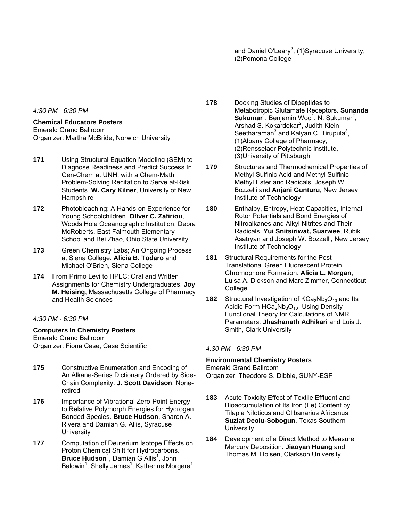and Daniel O'Leary<sup>2</sup>, (1)Syracuse University, (2)Pomona College

*4:30 PM - 6:30 PM* 

#### **Chemical Educators Posters**

Emerald Grand Ballroom Organizer: Martha McBride, Norwich University

- **171** Using Structural Equation Modeling (SEM) to Diagnose Readiness and Predict Success In Gen-Chem at UNH, with a Chem-Math Problem-Solving Recitation to Serve at-Risk Students. **W. Cary Kilner**, University of New **Hampshire**
- **172** Photobleaching: A Hands-on Experience for Young Schoolchildren. **OIlver C. Zafiriou**, Woods Hole Oceanographic Institution, Debra McRoberts, East Falmouth Elementary School and Bei Zhao, Ohio State University
- **173** Green Chemistry Labs; An Ongoing Process at Siena College. **Alicia B. Todaro** and Michael O'Brien, Siena College
- **174** From Primo Levi to HPLC: Oral and Written Assignments for Chemistry Undergraduates. **Joy M. Heising**, Massachusetts College of Pharmacy and Health Sciences

## *4:30 PM - 6:30 PM*

#### **Computers In Chemistry Posters**

Emerald Grand Ballroom Organizer: Fiona Case, Case Scientific

- **175** Constructive Enumeration and Encoding of An Alkane-Series Dictionary Ordered by Side-Chain Complexity. **J. Scott Davidson**, Noneretired
- **176** Importance of Vibrational Zero-Point Energy to Relative Polymorph Energies for Hydrogen Bonded Species. **Bruce Hudson**, Sharon A. Rivera and Damian G. Allis, Syracuse **University**
- **177** Computation of Deuterium Isotope Effects on Proton Chemical Shift for Hydrocarbons. **Bruce Hudson**<sup>1</sup>, Damian G Allis<sup>1</sup>, John Baldwin<sup>1</sup>, Shelly James<sup>1</sup>, Katherine Morgera<sup>1</sup>
- **178** Docking Studies of Dipeptides to Metabotropic Glutamate Receptors. **Sunanda Sukumar**<sup>1</sup>, Benjamin Woo<sup>1</sup>, N. Sukumar<sup>2</sup>, Arshad S. Kokardekar<sup>2</sup>, Judith Klein-Seetharaman $3$  and Kalyan C. Tirupula $3$ , (1)Albany College of Pharmacy, (2)Rensselaer Polytechnic Institute, (3)University of Pittsburgh
- **179** Structures and Thermochemical Properties of Methyl Sulfinic Acid and Methyl Sulfinic Methyl Ester and Radicals. Joseph W. Bozzelli and **Anjani Gunturu**, New Jersey Institute of Technology
- **180** Enthalpy, Entropy, Heat Capacities, Internal Rotor Potentials and Bond Energies of Nitroalkanes and Alkyl Nitrites and Their Radicals. **Yui Snitsiriwat, Suarwee**, Rubik Asatryan and Joseph W. Bozzelli, New Jersey Institute of Technology
- **181** Structural Requirements for the Post-Translational Green Fluorescent Protein Chromophore Formation. **Alicia L. Morgan**, Luisa A. Dickson and Marc Zimmer, Connecticut College
- **182** Structural Investigation of  $KCa<sub>2</sub>Nb<sub>3</sub>O<sub>10</sub>$  and Its Acidic Form  $HCa<sub>2</sub>Nb<sub>3</sub>O<sub>10</sub>$ - Using Density Functional Theory for Calculations of NMR Parameters. **Jhashanath Adhikari** and Luis J. Smith, Clark University

#### *4:30 PM - 6:30 PM*

# **Environmental Chemistry Posters**

Emerald Grand Ballroom Organizer: Theodore S. Dibble, SUNY-ESF

- **183** Acute Toxicity Effect of Textile Effluent and Bioaccumulation of Its Iron (Fe) Content by Tilapia Niloticus and Clibanarius Africanus. **Suziat Deolu-Sobogun**, Texas Southern **University**
- **184** Development of a Direct Method to Measure Mercury Deposition. **Jiaoyan Huang** and Thomas M. Holsen, Clarkson University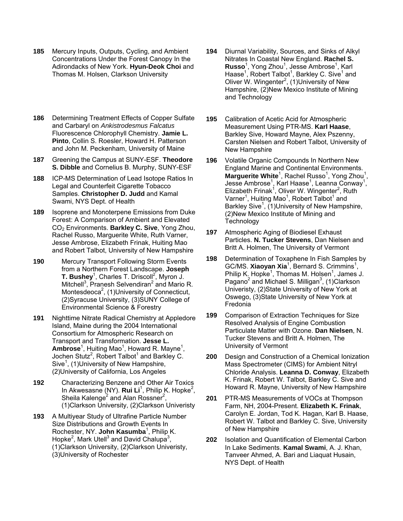- **185** Mercury Inputs, Outputs, Cycling, and Ambient Concentrations Under the Forest Canopy In the Adirondacks of New York. **Hyun-Deok Choi** and Thomas M. Holsen, Clarkson University
- **186** Determining Treatment Effects of Copper Sulfate and Carbaryl on *Ankistrodesmus Falcatus* Fluorescence Chlorophyll Chemistry. **Jamie L. Pinto**, Collin S. Roesler, Howard H. Patterson and John M. Peckenham, University of Maine
- **187** Greening the Campus at SUNY-ESF. **Theodore S. Dibble** and Cornelius B. Murphy, SUNY-ESF
- **188** ICP-MS Determination of Lead Isotope Ratios In Legal and Counterfeit Cigarette Tobacco Samples. **Christopher D. Judd** and Kamal Swami, NYS Dept. of Health
- **189** Isoprene and Monoterpene Emissions from Duke Forest: A Comparison of Ambient and Elevated CO2 Environments. **Barkley C. Sive**, Yong Zhou, Rachel Russo, Marguerite White, Ruth Varner, Jesse Ambrose, Elizabeth Frinak, Huiting Mao and Robert Talbot, University of New Hampshire
- **190** Mercury Transport Following Storm Events from a Northern Forest Landscape. **Joseph T. Bushey**<sup>1</sup>, Charles T. Driscoll<sup>2</sup>, Myron J. Mitchell<sup>3</sup>, Pranesh Selvendiran<sup>2</sup> and Mario R. Montesdeoca<sup>2</sup>, (1) University of Connecticut, (2)Syracuse University, (3)SUNY College of Environmental Science & Forestry
- **191** Nighttime Nitrate Radical Chemistry at Appledore Island, Maine during the 2004 International Consortium for Atmospheric Research on Transport and Transformation. **Jesse L.**  Ambrose<sup>1</sup>, Huiting Mao<sup>1</sup>, Howard R. Mayne<sup>1</sup>, Jochen Stutz<sup>2</sup>, Robert Talbot<sup>1</sup> and Barkley C. Sive<sup>1</sup>, (1) University of New Hampshire, (2)University of California, Los Angeles
- **192** Characterizing Benzene and Other Air Toxics In Akwesasne (NY). Rui Li<sup>1</sup>, Philip K. Hopke<sup>2</sup>, Sheila Kalenge<sup>2</sup> and Alan Rossner<sup>2</sup>, (1)Clarkson University, (2)Clarkson Univeristy
- **193** A Multiyear Study of Ultrafine Particle Number Size Distributions and Growth Events In Rochester, NY. **John Kasumba**<sup>1</sup>, Philip K. Hopke<sup>2</sup>, Mark Utell<sup>3</sup> and David Chalupa<sup>3</sup>, (1)Clarkson University, (2)Clarkson Univeristy, (3)University of Rochester
- **194** Diurnal Variability, Sources, and Sinks of Alkyl Nitrates In Coastal New England. **Rachel S.**  Russo<sup>1</sup>, Yong Zhou<sup>1</sup>, Jesse Ambrose<sup>1</sup>, Karl Haase<sup>1</sup>, Robert Talbot<sup>1</sup>, Barkley C. Sive<sup>1</sup> and Oliver W. Wingenter<sup>2</sup>, (1) University of New Hampshire, (2)New Mexico Institute of Mining and Technology
- **195** Calibration of Acetic Acid for Atmospheric Measurement Using PTR-MS. **Karl Haase**, Barkley Sive, Howard Mayne, Alex Pszenny, Carsten Nielsen and Robert Talbot, University of New Hampshire
- **196** Volatile Organic Compounds In Northern New England Marine and Continental Environments. Marguerite White<sup>1</sup>, Rachel Russo<sup>1</sup>, Yong Zhou<sup>1</sup>, Jesse Ambrose<sup>1</sup>, Karl Haase<sup>1</sup>, Leanna Conway<sup>1</sup>, Elizabeth Frinak<sup>1</sup>, Oliver W. Wingenter<sup>2</sup>, Ruth Varner<sup>1</sup>, Huiting Mao<sup>1</sup>, Robert Talbot<sup>1</sup> and Barkley Sive<sup>1</sup>, (1) University of New Hampshire, (2)New Mexico Institute of Mining and **Technology**
- **197** Atmospheric Aging of Biodiesel Exhaust Particles. **N. Tucker Stevens**, Dan Nielsen and Britt A. Holmen, The University of Vermont
- **198** Determination of Toxaphene In Fish Samples by GC/MS. **Xiaoyan Xia**<sup>1</sup>, Bernard S. Crimmins<sup>1</sup>, Philip K. Hopke<sup>1</sup>, Thomas M. Holsen<sup>1</sup>, James J. Pagano<sup>2</sup> and Michael S. Milligan<sup>3</sup>, (1)Clarkson Univeristy, (2)State University of New York at Oswego, (3)State University of New York at Fredonia
- **199** Comparison of Extraction Techniques for Size Resolved Analysis of Engine Combustion Particulate Matter with Ozone. **Dan Nielsen**, N. Tucker Stevens and Britt A. Holmen, The University of Vermont
- **200** Design and Construction of a Chemical Ionization Mass Spectrometer (CIMS) for Ambient Nitryl Chloride Analysis. **Leanna D. Conway**, Elizabeth K. Frinak, Robert W. Talbot, Barkley C. Sive and Howard R. Mayne, University of New Hampshire
- **201** PTR-MS Measurements of VOCs at Thompson Farm, NH, 2004-Present. **Elizabeth K. Frinak**, Carolyn E. Jordan, Tod K. Hagan, Karl B. Haase, Robert W. Talbot and Barkley C. Sive, University of New Hampshire
- **202** Isolation and Quantification of Elemental Carbon In Lake Sediments. **Kamal Swami**, A. J. Khan, Tanveer Ahmed, A. Bari and Liaquat Husain, NYS Dept. of Health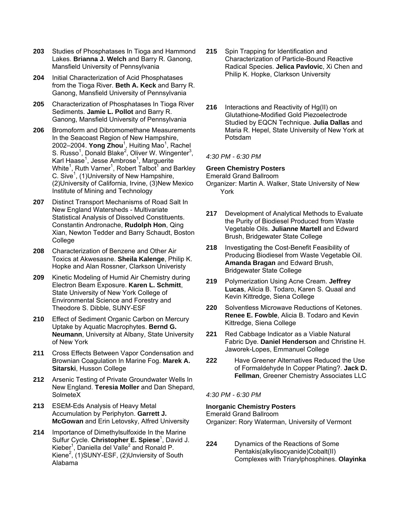- **203** Studies of Phosphatases In Tioga and Hammond Lakes. **Brianna J. Welch** and Barry R. Ganong, Mansfield University of Pennsylvania
- **204** Initial Characterization of Acid Phosphatases from the Tioga River. **Beth A. Keck** and Barry R. Ganong, Mansfield University of Pennsylvania
- **205** Characterization of Phosphatases In Tioga River Sediments. **Jamie L. Pollot** and Barry R. Ganong, Mansfield University of Pennsylvania
- **206** Bromoform and Dibromomethane Measurements In the Seacoast Region of New Hampshire, 2002–2004. **Yong Zhou**<sup>1</sup>, Huiting Mao<sup>1</sup>, Rachel S. Russo<sup>1</sup>, Donald Blake<sup>2</sup>, Oliver W. Wingenter<sup>3</sup>, Karl Haase<sup>1</sup>, Jesse Ambrose<sup>1</sup>, Marguerite White<sup>1</sup>, Ruth Varner<sup>1</sup>, Robert Talbot<sup>1</sup> and Barkley C. Sive<sup>1</sup>, (1)University of New Hampshire, (2)University of California, Irvine, (3)New Mexico Institute of Mining and Technology
- **207** Distinct Transport Mechanisms of Road Salt In New England Watersheds - Multivariate Statistical Analysis of Dissolved Constituents. Constantin Andronache, **Rudolph Hon**, Qing Xian, Newton Tedder and Barry Schaudt, Boston College
- **208** Characterization of Benzene and Other Air Toxics at Akwesasne. **Sheila Kalenge**, Philip K. Hopke and Alan Rossner, Clarkson Univeristy
- **209** Kinetic Modeling of Humid Air Chemistry during Electron Beam Exposure. **Karen L. Schmitt**, State University of New York College of Environmental Science and Forestry and Theodore S. Dibble, SUNY-ESF
- **210** Effect of Sediment Organic Carbon on Mercury Uptake by Aquatic Macrophytes. **Bernd G. Neumann**, University at Albany, State University of New York
- **211** Cross Effects Between Vapor Condensation and Brownian Coagulation In Marine Fog. **Marek A. Sitarski**, Husson College
- **212** Arsenic Testing of Private Groundwater Wells In New England. **Teresia Moller** and Dan Shepard, SolmeteX
- **213** ESEM-Eds Analysis of Heavy Metal Accumulation by Periphyton. **Garrett J. McGowan** and Erin Letovsky, Alfred University
- **214** Importance of Dimethylsulfoxide In the Marine Sulfur Cycle. Christopher E. Spiese<sup>1</sup>, David J. Kieber<sup>1</sup>, Daniella del Valle<sup>2</sup> and Ronald P. Kiene<sup>2</sup>, (1)SUNY-ESF, (2)Unviersity of South Alabama
- **215** Spin Trapping for Identification and Characterization of Particle-Bound Reactive Radical Species. **Jelica Pavlovic**, Xi Chen and Philip K. Hopke, Clarkson University
- **216** Interactions and Reactivity of Hg(II) on Glutathione-Modified Gold Piezoelectrode Studied by EQCN Technique. **Julia Dallas** and Maria R. Hepel, State University of New York at Potsdam

## *4:30 PM - 6:30 PM*

## **Green Chemistry Posters**

Emerald Grand Ballroom

Organizer: Martin A. Walker, State University of New York

- **217** Development of Analytical Methods to Evaluate the Purity of Biodiesel Produced from Waste Vegetable Oils. **Julianne Martell** and Edward Brush, Bridgewater State College
- **218** Investigating the Cost-Benefit Feasibility of Producing Biodiesel from Waste Vegetable Oil. **Amanda Bragan** and Edward Brush, Bridgewater State College
- **219** Polymerization Using Acne Cream. **Jeffrey Lucas**, Alicia B. Todaro, Karen S. Quaal and Kevin Kittredge, Siena College
- **220** Solventless Microwave Reductions of Ketones. **Renee E. Fowble**, Alicia B. Todaro and Kevin Kittredge, Siena College
- **221** Red Cabbage Indicator as a Viable Natural Fabric Dye. **Daniel Henderson** and Christine H. Jaworek-Lopes, Emmanuel College
- **222** Have Greener Alternatives Reduced the Use of Formaldehyde In Copper Plating?. **Jack D. Fellman**, Greener Chemistry Associates LLC

## *4:30 PM - 6:30 PM*

#### **Inorganic Chemistry Posters**

Emerald Grand Ballroom

Organizer: Rory Waterman, University of Vermont

**224** Dynamics of the Reactions of Some Pentakis(alkylisocyanide)Cobalt(II) Complexes with Triarylphosphines. **Olayinka**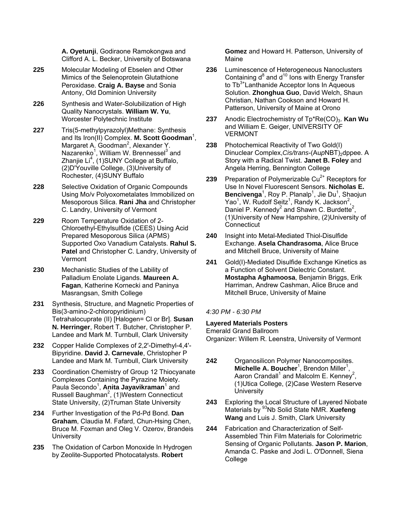**A. Oyetunji**, Godiraone Ramokongwa and Clifford A. L. Becker, University of Botswana

- **225** Molecular Modeling of Ebselen and Other Mimics of the Selenoprotein Glutathione Peroxidase. **Craig A. Bayse** and Sonia Antony, Old Dominion University
- **226** Synthesis and Water-Solubilization of High Quality Nanocrystals. **William W. Yu**, Worcester Polytechnic Institute
- **227** Tris(5-methylpyrazolyl)Methane: Synthesis and Its Iron(II) Complex. M. Scott Goodman<sup>1</sup>, Margaret A. Goodman<sup>2</sup>, Alexander Y. Nazarenko<sup>1</sup>, William W. Brennessel<sup>3</sup> and Zhanjie Li<sup>4</sup>, (1)SUNY College at Buffalo, (2)D'Youville College, (3)University of Rochester, (4)SUNY Buffalo
- **228** Selective Oxidation of Organic Compounds Using Mo/v Polyoxometalates Immobilized on Mesoporous Silica. **Rani Jha** and Christopher C. Landry, University of Vermont
- **229** Room Temperature Oxidation of 2- Chloroethyl-Ethylsulfide (CEES) Using Acid Prepared Mesoporous Silica (APMS) Supported Oxo Vanadium Catalysts. **Rahul S. Patel** and Christopher C. Landry, University of Vermont
- **230** Mechanistic Studies of the Lability of Palladium Enolate Ligands. **Maureen A. Fagan**, Katherine Kornecki and Paninya Masrangsan, Smith College
- **231** Synthesis, Structure, and Magnetic Properties of Bis(3-amino-2-chloropyridinium) Tetrahalocuprate (II) [Halogen= Cl or Br]. **Susan N. Herringer**, Robert T. Butcher, Christopher P. Landee and Mark M. Turnbull, Clark University
- **232** Copper Halide Complexes of 2,2'-Dimethyl-4,4'- Bipyridine. **David J. Carnevale**, Christopher P Landee and Mark M. Turnbull, Clark University
- **233** Coordination Chemistry of Group 12 Thiocyanate Complexes Containing the Pyrazine Moiety. Paula Secondo<sup>1</sup>, Anita Jayavikraman<sup>1</sup> and Russell Baughman<sup>2</sup>, (1)Western Connecticut State University, (2)Truman State University
- **234** Further Investigation of the Pd-Pd Bond. **Dan Graham**, Claudia M. Fafard, Chun-Hsing Chen, Bruce M. Foxman and Oleg V. Ozerov, Brandeis **University**
- **235** The Oxidation of Carbon Monoxide In Hydrogen by Zeolite-Supported Photocatalysts. **Robert**

**Gomez** and Howard H. Patterson, University of Maine

- **236** Luminescence of Heterogeneous Nanoclusters Containing  $d^8$  and  $d^{10}$  lons with Energy Transfer to Tb<sup>3+</sup>Lanthanide Acceptor Ions In Aqueous Solution. **Zhonghua Guo**, David Welch, Shaun Christian, Nathan Cookson and Howard H. Patterson, University of Maine at Orono
- 237 Anodic Electrochemistry of Tp\*Re(CO)<sub>3</sub>. Kan Wu and William E. Geiger, UNIVERSITY OF VERMONT
- **238** Photochemical Reactivity of Two Gold(I) Dinuclear Complex, Cis/trans-(AupNBT)<sub>2</sub>dppee. A Story with a Radical Twist. **Janet B. Foley** and Angela Herring, Bennington College
- 239 Preparation of Polymerizable Cu<sup>2+</sup> Receptors for Use In Novel Fluorescent Sensors. **Nicholas E.**  Bencivenga<sup>1</sup>, Roy P. Planalp<sup>1</sup>, Jie Du<sup>1</sup>, Shaojun Yao<sup>1</sup>, W. Rudolf Seitz<sup>1</sup>, Randy K. Jackson<sup>2</sup>, Daniel P. Kennedy<sup>2</sup> and Shawn C. Burdette<sup>2</sup>, (1)University of New Hampshire, (2)University of **Connecticut**
- **240** Insight into Metal-Mediated Thiol-Disulfide Exchange. **Asela Chandrasoma**, Alice Bruce and Mitchell Bruce, University of Maine
- **241** Gold(I)-Mediated Disulfide Exchange Kinetics as a Function of Solvent Dielectric Constant. **Mostapha Aghamoosa**, Benjamin Briggs, Erik Harriman, Andrew Cashman, Alice Bruce and Mitchell Bruce, University of Maine

# *4:30 PM - 6:30 PM*

## **Layered Materials Posters**

Emerald Grand Ballroom

Organizer: Willem R. Leenstra, University of Vermont

- **242** Organosilicon Polymer Nanocomposites. Michelle A. Boucher<sup>1</sup>, Brendon Miller<sup>1</sup>, Aaron Crandall<sup>1</sup> and Malcolm E. Kenney<sup>2</sup>, (1)Utica College, (2)Case Western Reserve **University**
- **243** Exploring the Local Structure of Layered Niobate Materials by 93Nb Solid State NMR. **Xuefeng Wang** and Luis J. Smith, Clark University
- **244** Fabrication and Characterization of Self-Assembled Thin Film Materials for Colorimetric Sensing of Organic Pollutants. **Jason P. Marion**, Amanda C. Paske and Jodi L. O'Donnell, Siena **College**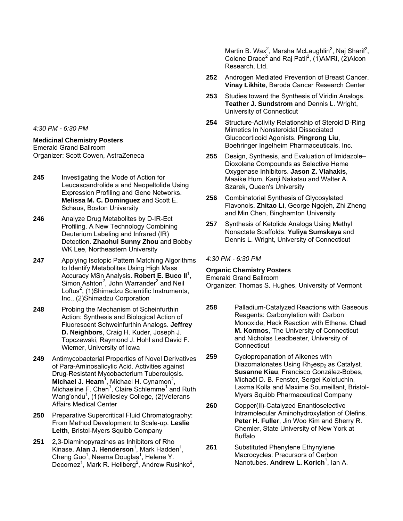*4:30 PM - 6:30 PM* 

# **Medicinal Chemistry Posters**

Emerald Grand Ballroom Organizer: Scott Cowen, AstraZeneca

- **245** Investigating the Mode of Action for Leucascandrolide a and Neopeltolide Using Expression Profiling and Gene Networks. **Melissa M. C. Dominguez** and Scott E. Schaus, Boston University
- **246** Analyze Drug Metabolites by D-IR-Ect Profiling. A New Technology Combining Deuterium Labeling and Infrared (IR) Detection. **Zhaohui Sunny Zhou** and Bobby WK Lee, Northeastern University
- **247** Applying Isotopic Pattern Matching Algorithms to Identify Metabolites Using High Mass Accuracy MSn Analysis. **Robert E. Buco II**<sup>1</sup> , Simon Ashton<sup>2</sup>, John Warrander<sup>2</sup> and Neil Loftus<sup>2</sup>, (1)Shimadzu Scientific Instruments, Inc., (2)Shimadzu Corporation
- **248** Probing the Mechanism of Scheinfurthin Action: Synthesis and Biological Action of Fluorescent Schweinfurthin Analogs. **Jeffrey D. Neighbors**, Craig H. Kuder, Joseph J. Topczewski, Raymond J. Hohl and David F. Wiemer, University of Iowa
- **249** Antimycobacterial Properties of Novel Derivatives of Para-Aminosalicylic Acid. Activities against Drug-Resistant Mycobacterium Tuberculosis. Michael J. Hearn<sup>1</sup>, Michael H. Cynamon<sup>2</sup>, Michaeline F. Chen<sup>1</sup>, Claire Schlemme<sup>1</sup> and Ruth Wang'ondu<sup>1</sup>, (1)Wellesley College, (2)Veterans Affairs Medical Center
- **250** Preparative Supercritical Fluid Chromatography: From Method Development to Scale-up. **Leslie Leith**, Bristol-Myers Squibb Company
- **251** 2,3-Diaminopyrazines as Inhibitors of Rho Kinase. Alan J. Henderson<sup>1</sup>, Mark Hadden<sup>1</sup>, Cheng Guo<sup>1</sup>, Neema Douglas<sup>1</sup>, Helene Y. Decornez<sup>1</sup>, Mark R. Hellberg<sup>2</sup>, Andrew Rusinko<sup>2</sup>,

Martin B. Wax<sup>2</sup>, Marsha McLaughlin<sup>2</sup>, Naj Sharif<sup>2</sup>, Colene Drace<sup>2</sup> and Raj Patil<sup>2</sup>, (1) AMRI, (2) Alcon Research, Ltd.

- **252** Androgen Mediated Prevention of Breast Cancer. **Vinay Likhite**, Baroda Cancer Research Center
- **253** Studies toward the Synthesis of Viridin Analogs. **Teather J. Sundstrom** and Dennis L. Wright, University of Connecticut
- **254** Structure-Activity Relationship of Steroid D-Ring Mimetics In Nonsteroidal Dissociated Glucocorticoid Agonists. **Pingrong Liu**, Boehringer Ingelheim Pharmaceuticals, Inc.
- **255** Design, Synthesis, and Evaluation of Imidazole– Dioxolane Compounds as Selective Heme Oxygenase Inhibitors. **Jason Z. Vlahakis**, Maaike Hum, Kanji Nakatsu and Walter A. Szarek, Queen's University
- **256** Combinatorial Synthesis of Glycosylated Flavonols. **Zhitao Li**, George Ngojeh, Zhi Zheng and Min Chen, Binghamton University
- **257** Synthesis of Ketolide Analogs Using Methyl Nonactate Scaffolds. **Yuliya Sumskaya** and Dennis L. Wright, University of Connecticut

## *4:30 PM - 6:30 PM*

# **Organic Chemistry Posters**

Emerald Grand Ballroom

Organizer: Thomas S. Hughes, University of Vermont

- **258** Palladium-Catalyzed Reactions with Gaseous Reagents: Carbonylation with Carbon Monoxide, Heck Reaction with Ethene. **Chad M. Kormos**, The University of Connecticut and Nicholas Leadbeater, University of **Connecticut**
- **259** Cyclopropanation of Alkenes with Diazomalonates Using Rh<sub>2</sub>esp<sub>2</sub> as Catalyst. **Susanne Kiau**, Francisco González-Bobes, Michaël D. B. Fenster, Sergei Kolotuchin, Laxma Kolla and Maxime Soumeillant, Bristol-Myers Squibb Pharmaceutical Company
- **260** Copper(II)-Catalyzed Enantioselective Intramolecular Aminohydroxylation of Olefins. **Peter H. Fuller**, Jin Woo Kim and Sherry R. Chemler, State University of New York at Buffalo
- **261** Substituted Phenylene Ethynylene Macrocycles: Precursors of Carbon Nanotubes. Andrew L. Korich<sup>1</sup>, Ian A.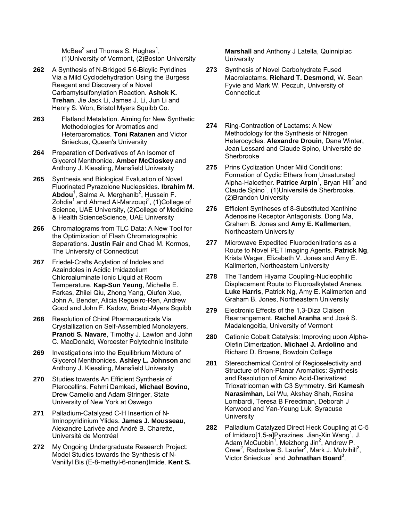McBee $^2$  and Thomas S. Hughes<sup>1</sup>, (1)University of Vermont, (2)Boston University

- **262** A Synthesis of N-Bridged 5,6-Bicylic Pyridines Via a Mild Cyclodehydration Using the Burgess Reagent and Discovery of a Novel Carbamylsulfonylation Reaction. **Ashok K. Trehan**, Jie Jack Li, James J. Li, Jun Li and Henry S. Won, Bristol Myers Squibb Co.
- **263** Flatland Metalation. Aiming for New Synthetic Methodologies for Aromatics and Heteroaromatics. **Toni Ratanen** and Victor Snieckus, Queen's University
- **264** Preparation of Derivatives of An Isomer of Glycerol Menthonide. **Amber McCloskey** and Anthony J. Kiessling, Mansfield University
- **265** Synthesis and Biological Evaluation of Novel Fluorinated Pyrazolone Nucleosides. **Ibrahim M.**  Abdou<sup>1</sup>, Salma A. Merghanib<sup>2</sup>, Hussein F. Zohdia<sup>1</sup> and Ahmed Al-Marzouqi<sup>2</sup>, (1)College of Science, UAE University, (2)College of Medicine & Health ScienceScience, UAE University
- **266** Chromatograms from TLC Data: A New Tool for the Optimization of Flash Chromatographic Separations. **Justin Fair** and Chad M. Kormos, The University of Connecticut
- **267** Friedel-Crafts Acylation of Indoles and Azaindoles in Acidic Imidazolium Chloroaluminate Ionic Liquid at Room Temperature. **Kap-Sun Yeung**, Michelle E. Farkas, Zhilei Qiu, Zhong Yang, Qiufen Xue, John A. Bender, Alicia Regueiro-Ren, Andrew Good and John F. Kadow, Bristol-Myers Squibb
- **268** Resolution of Chiral Pharmaceuticals Via Crystallization on Self-Assembled Monolayers. **Pranoti S. Navare**, Timothy J. Lawton and John C. MacDonald, Worcester Polytechnic Institute
- **269** Investigations into the Equilibrium Mixture of Glycerol Menthonides. **Ashley L. Johnson** and Anthony J. Kiessling, Mansfield University
- **270** Studies towards An Efficient Synthesis of Pterocellins. Fehmi Damkaci, **Michael Bovino**, Drew Camelio and Adam Stringer, State University of New York at Oswego
- **271** Palladium-Catalyzed C-H Insertion of N-Iminopyridinium Ylides. **James J. Mousseau**, Alexandre Larivée and André B. Charette, Université de Montréal
- **272** My Ongoing Undergraduate Research Project: Model Studies towards the Synthesis of N-Vanillyl Bis (E-8-methyl-6-nonen)Imide. **Kent S.**

**Marshall** and Anthony J Latella, Quinnipiac **University** 

- **273** Synthesis of Novel Carbohydrate Fused Macrolactams. **Richard T. Desmond**, W. Sean Fyvie and Mark W. Peczuh, University of **Connecticut**
- **274** Ring-Contraction of Lactams: A New Methodology for the Synthesis of Nitrogen Heterocycles. **Alexandre Drouin**, Dana Winter, Jean Lessard and Claude Spino, Université de Sherbrooke
- **275** Prins Cyclization Under Mild Conditions: Formation of Cyclic Ethers from Unsaturated Alpha-Haloether. Patrice Arpin<sup>1</sup>, Bryan Hill<sup>2</sup> and Claude Spino<sup>1</sup>, (1) Université de Sherbrooke, (2)Brandon University
- **276** Efficient Syntheses of 8-Substituted Xanthine Adenosine Receptor Antagonists. Dong Ma, Graham B. Jones and **Amy E. Kallmerten**, Northeastern University
- **277** Microwave Expedited Fluorodenitrations as a Route to Novel PET Imaging Agents. **Patrick Ng**, Krista Wager, Elizabeth V. Jones and Amy E. Kallmerten, Northeastern University
- **278** The Tandem Hiyama Coupling-Nucleophilic Displacement Route to Fluoroalkylated Arenes. **Luke Harris**, Patrick Ng, Amy E. Kallmerten and Graham B. Jones, Northeastern University
- **279** Electronic Effects of the 1,3-Diza Claisen Rearrangement. **Rachel Aranha** and José S. Madalengoitia, University of Vermont
- **280** Cationic Cobalt Catalysis: Improving upon Alpha-Olefin Dimerization. **Michael J. Ardolino** and Richard D. Broene, Bowdoin College
- **281** Stereochemical Control of Regioselectivity and Structure of Non-Planar Aromatics: Synthesis and Resolution of Amino Acid-Derivatized Trioxatricornan with C3 Symmetry. **Sri Kamesh Narasimhan**, Lei Wu, Akshay Shah, Rosina Lombardi, Teresa B Freedman, Deborah J Kerwood and Yan-Yeung Luk, Syracuse **University**
- **282** Palladium Catalyzed Direct Heck Coupling at C-5 of Imidazo[1,5-a]Pyrazines. Jian-Xin Wang<sup>1</sup>, J. Adam McCubbin<sup>1</sup>, Meizhong Jin<sup>2</sup>, Andrew P. Crew<sup>2</sup>, Radoslaw S. Laufer<sup>2</sup>, Mark J. Mulvihill<sup>2</sup>, Victor Snieckus<sup>1</sup> and **Johnathan Board**<sup>3</sup>,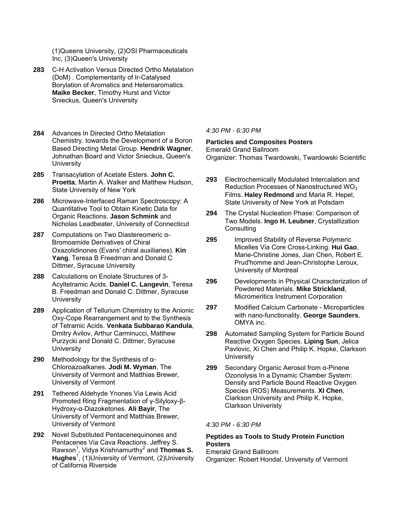(1)Queens University, (2)OSI Pharmaceuticals Inc, (3)Queen's University

- **283** C-H Activation Versus Directed Ortho Metalation (DoM) . Complementarity of Ir-Catalysed Borylation of Aromatics and Heteroaromatics. **Maike Becker**, Timothy Hurst and Victor Snieckus, Queen's University
- **284** Advances In Directed Ortho Metalation Chemistry. towards the Development of a Boron Based Directing Metal Group. **Hendrik Wagner**, Johnathan Board and Victor Snieckus, Queen's **University**
- **285** Transacylation of Acetate Esters. **John C. Proetta**, Martin A. Walker and Matthew Hudson, State University of New York
- **286** Microwave-Interfaced Raman Spectroscopy: A Quantitative Tool to Obtain Kinetic Data for Organic Reactions. **Jason Schmink** and Nicholas Leadbeater, University of Connecticut
- **287** Computations on Two Diastereomeric α-Bromoamide Derivatives of Chiral Oxazolidinones (Evans' chiral auxiliaries). **Kin Yang**, Teresa B Freedman and Donald C Dittmer, Syracuse University
- **288** Calculations on Enolate Structures of 3- Acyltetramic Acids. **Daniel C. Langevin**, Teresa B. Freedman and Donald C. Dittmer, Syracuse **University**
- **289** Application of Tellurium Chemistry to the Anionic Oxy-Cope Rearrangement and to the Synthesis of Tetramic Acids. **Venkata Subbarao Kandula**, Dmitry Avilov, Arthur Carminucci, Matthew Purzycki and Donald C. Dittmer, Syracuse **University**
- **290** Methodology for the Synthesis of α-Chloroazoalkanes. **Jodi M. Wyman**, The University of Vermont and Matthias Brewer, University of Vermont
- **291** Tethered Aldehyde Ynones Via Lewis Acid Promoted Ring Fragmentation of γ-Silyloxy-β-Hydroxy-α-Diazoketones. **Ali Bayir**, The University of Vermont and Matthias Brewer, University of Vermont
- **292** Novel Substituted Pentacenequinones and Pentacenes Via Cava Reactions. Jeffrey S. Rawson<sup>1</sup>, Vidya Krishnamurthy<sup>2</sup> and **Thomas S.** Hughes<sup>1</sup>, (1)University of Vermont, (2)University of California Riverside

*4:30 PM - 6:30 PM* 

#### **Particles and Composites Posters**  Emerald Grand Ballroom

Organizer: Thomas Twardowski, Twardowski Scientific

- **293** Electrochemically Modulated Intercalation and Reduction Processes of Nanostructured  $WO<sub>3</sub>$ Films. **Haley Redmond** and Maria R. Hepel, State University of New York at Potsdam
- **294** The Crystal Nucleation Phase: Comparison of Two Models. **Ingo H. Leubner**, Crystallization **Consulting**
- **295** Improved Stability of Reverse Polymeric Micelles Via Core Cross-Linking. **Hui Gao**, Marie-Christine Jones, Jian Chen, Robert E. Prud'homme and Jean-Christophe Leroux, University of Montreal
- **296** Developments in Physical Characterization of Powdered Materials. **Mike Strickland**, Micromeritics Instrument Corporation
- **297** Modified Calcium Carbonate Microparticles with nano-functionality. **George Saunders**, OMYA inc.
- **298** Automated Sampling System for Particle Bound Reactive Oxygen Species. **Liping Sun**, Jelica Pavlovic, Xi Chen and Philip K. Hopke, Clarkson **University**
- **299** Secondary Organic Aerosol from α-Pinene Ozonolysis In a Dynamic Chamber System: Density and Particle Bound Reactive Oxygen Species (ROS) Measurements. **XI Chen**, Clarkson University and Philip K. Hopke, Clarkson Univeristy

*4:30 PM - 6:30 PM* 

## **Peptides as Tools to Study Protein Function Posters**

Emerald Grand Ballroom Organizer: Robert Hondal, University of Vermont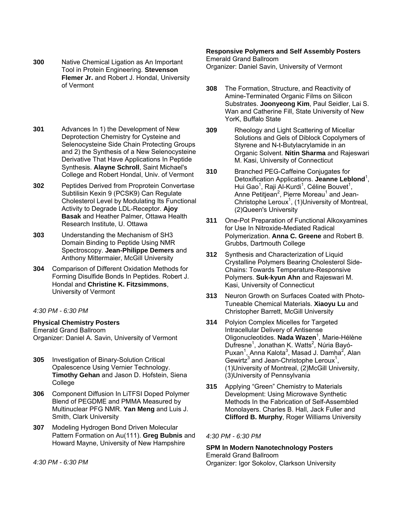- **300** Native Chemical Ligation as An Important Tool in Protein Engineering. **Stevenson Flemer Jr.** and Robert J. Hondal, University of Vermont
- **301** Advances In 1) the Development of New Deprotection Chemistry for Cysteine and Selenocysteine Side Chain Protecting Groups and 2) the Synthesis of a New Selenocysteine Derivative That Have Applications In Peptide Synthesis. **Alayne Schroll**, Saint Michael's College and Robert Hondal, Univ. of Vermont
- **302** Peptides Derived from Proprotein Convertase Subtilisin Kexin 9 (PCSK9) Can Regulate Cholesterol Level by Modulating Its Functional Activity to Degrade LDL-Receptor. **Ajoy Basak** and Heather Palmer, Ottawa Health Research Institute, U. Ottawa
- **303** Understanding the Mechanism of SH3 Domain Binding to Peptide Using NMR Spectroscopy. **Jean-Philippe Demers** and Anthony Mittermaier, McGill University
- **304** Comparison of Different Oxidation Methods for Forming Disulfide Bonds In Peptides. Robert J. Hondal and **Christine K. Fitzsimmons**, University of Vermont

# *4:30 PM - 6:30 PM*

## **Physical Chemistry Posters**

Emerald Grand Ballroom Organizer: Daniel A. Savin, University of Vermont

- **305** Investigation of Binary-Solution Critical Opalescence Using Vernier Technology. **Timothy Gehan** and Jason D. Hofstein, Siena College
- **306** Component Diffusion In LiTFSI Doped Polymer Blend of PEGDME and PMMA Measured by Multinuclear PFG NMR. **Yan Meng** and Luis J. Smith, Clark University
- **307** Modeling Hydrogen Bond Driven Molecular Pattern Formation on Au(111). **Greg Bubnis** and Howard Mayne, University of New Hampshire

*4:30 PM - 6:30 PM* 

#### **Responsive Polymers and Self Assembly Posters**  Emerald Grand Ballroom

Organizer: Daniel Savin, University of Vermont

- **308** The Formation, Structure, and Reactivity of Amine-Terminated Organic Films on Silicon Substrates. **Joonyeong Kim**, Paul Seidler, Lai S. Wan and Catherine Fill, State University of New YorK, Buffalo State
- **309** Rheology and Light Scattering of Micellar Solutions and Gels of Diblock Copolymers of Styrene and N-t-Butylacrylamide in an Organic Solvent. **Nitin Sharma** and Rajeswari M. Kasi, University of Connecticut
- **310** Branched PEG-Caffeine Conjugates for Detoxification Applications. Jeanne Leblond<sup>1</sup>, Hui Gao<sup>1</sup>, Raji Al-Kurdi<sup>1</sup>, Céline Bouvet<sup>1</sup>, Anne Petitjean<sup>2</sup>, Pierre Moreau<sup>1</sup> and Jean-Christophe Leroux<sup>1</sup>, (1) University of Montreal, (2)Queen's University
- **311** One-Pot Preparation of Functional Alkoxyamines for Use In Nitroxide-Mediated Radical Polymerization. **Anna C. Greene** and Robert B. Grubbs, Dartmouth College
- **312** Synthesis and Characterization of Liquid Crystalline Polymers Bearing Cholesterol Side-Chains: Towards Temperature-Responsive Polymers. **Suk-kyun Ahn** and Rajeswari M. Kasi, University of Connecticut
- **313** Neuron Growth on Surfaces Coated with Photo-Tuneable Chemical Materials. **Xiaoyu Lu** and Christopher Barrett, McGill University
- **314** Polyion Complex Micelles for Targeted Intracellular Delivery of Antisense Oligonucleotides. **Nada Wazen**<sup>1</sup> , Marie-Hélène Dufresne<sup>1</sup>, Jonathan K. Watts<sup>2</sup>, Núria Bayó-Puxan<sup>1</sup>, Anna Kalota<sup>3</sup>, Masad J. Damha<sup>2</sup>, Alan Gewirtz<sup>3</sup> and Jean-Christophe Leroux<sup>1</sup>, (1)University of Montreal, (2)McGill University, (3)University of Pennsylvania
- **315** Applying "Green" Chemistry to Materials Development: Using Microwave Synthetic Methods In the Fabrication of Self-Assembled Monolayers. Charles B. Hall, Jack Fuller and **Clifford B. Murphy**, Roger Williams University

## *4:30 PM - 6:30 PM*

**SPM In Modern Nanotechnology Posters**  Emerald Grand Ballroom Organizer: Igor Sokolov, Clarkson University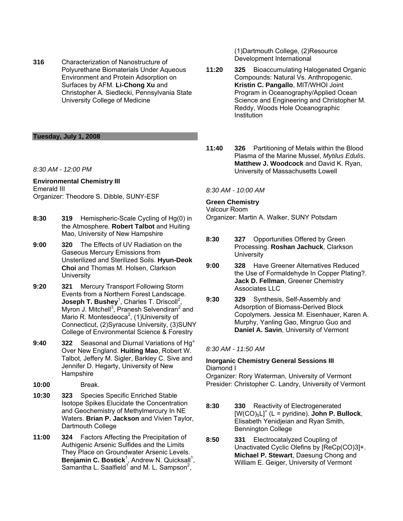**316** Characterization of Nanostructure of Polyurethane Biomaterials Under Aqueous Environment and Protein Adsorption on Surfaces by AFM. **Li-Chong Xu** and Christopher A. Siedlecki, Pennsylvania State University College of Medicine

## **Tuesday, July 1, 2008**

*8:30 AM - 12:00 PM* 

**Environmental Chemistry III**  Emerald III Organizer: Theodore S. Dibble, SUNY-ESF

- **8:30 319** Hemispheric-Scale Cycling of Hg(0) in the Atmosphere. **Robert Talbot** and Huiting Mao, University of New Hampshire
- **9:00 320** The Effects of UV Radiation on the Gaseous Mercury Emissions from Unsterilized and Sterilized Soils. **Hyun-Deok Choi** and Thomas M. Holsen, Clarkson **University**
- **9:20 321** Mercury Transport Following Storm Events from a Northern Forest Landscape. **Joseph T. Bushey**<sup>1</sup>, Charles T. Driscoll<sup>2</sup>, Myron J. Mitchell<sup>3</sup>, Pranesh Selvendiran<sup>2</sup> and Mario R. Montesdeoca<sup>2</sup>, (1) University of Connecticut, (2)Syracuse University, (3)SUNY College of Environmental Science & Forestry
- **9:40 322** Seasonal and Diurnal Variations of Hg° Over New England. **Huiting Mao**, Robert W. Talbot, Jeffery M. Sigler, Barkley C. Sive and Jennifer D. Hegarty, University of New **Hampshire**
- **10:00** Break.
- **10:30 323** Species Specific Enriched Stable Isotope Spikes Elucidate the Concentration and Geochemistry of Methylmercury In NE Waters. **Brian P. Jackson** and Vivien Taylor, Dartmouth College
- **11:00 324** Factors Affecting the Precipitation of Authigenic Arsenic Sulfides and the Limits They Place on Groundwater Arsenic Levels. Benjamin C. Bostick<sup>1</sup>, Andrew N. Quicksall<sup>1</sup>, Samantha L. Saalfield<sup>1</sup> and M. L. Sampson<sup>2</sup>,

(1)Dartmouth College, (2)Resource Development International

- **11:20 325** Bioaccumulating Halogenated Organic Compounds: Natural Vs. Anthropogenic. **Kristin C. Pangallo**, MIT/WHOI Joint Program in Oceanography/Applied Ocean Science and Engineering and Christopher M. Reddy, Woods Hole Oceanographic **Institution**
- **11:40 326** Partitioning of Metals within the Blood Plasma of the Marine Mussel, *Mytilus Edulis*. **Matthew J. Woodcock** and David K. Ryan, University of Massachusetts Lowell

*8:30 AM - 10:00 AM* 

## **Green Chemistry**

Valcour Room Organizer: Martin A. Walker, SUNY Potsdam

- **8:30 327** Opportunities Offered by Green Processing. **Roshan Jachuck**, Clarkson **University**
- **9:00 328** Have Greener Alternatives Reduced the Use of Formaldehyde In Copper Plating?. **Jack D. Fellman**, Greener Chemistry Associates LLC
- **9:30 329** Synthesis, Self-Assembly and Adsorption of Biomass-Derived Block Copolymers. Jessica M. Eisenhauer, Karen A. Murphy, Yanling Gao, Mingruo Guo and **Daniel A. Savin**, University of Vermont

*8:30 AM - 11:50 AM* 

## **Inorganic Chemistry General Sessions III**  Diamond I

Organizer: Rory Waterman, University of Vermont Presider: Christopher C. Landry, University of Vermont

- **8:30 330** Reactivity of Electrogenerated  $[W(CO)_5L]^+$  (L = pyridine). **John P. Bullock**, Elisabeth Yenidjeian and Ryan Smith, Bennington College
- **8:50 331** Electrocatalyzed Coupling of Unactivated Cyclic Olefins by [ReCp(CO)3]+. **Michael P. Stewart**, Daesung Chong and William E. Geiger, University of Vermont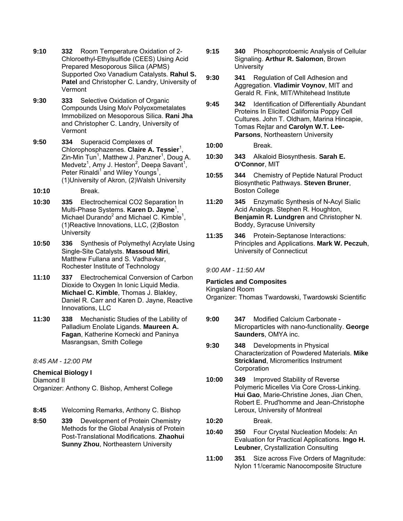- **9:10 332** Room Temperature Oxidation of 2- Chloroethyl-Ethylsulfide (CEES) Using Acid Prepared Mesoporous Silica (APMS) Supported Oxo Vanadium Catalysts. **Rahul S. Patel** and Christopher C. Landry, University of Vermont
- **9:30 333** Selective Oxidation of Organic Compounds Using Mo/v Polyoxometalates Immobilized on Mesoporous Silica. **Rani Jha** and Christopher C. Landry, University of Vermont
- **9:50 334** Superacid Complexes of Chlorophosphazenes. Claire A. Tessier<sup>1</sup>, Zin-Min Tun<sup>1</sup>, Matthew J. Panzner<sup>1</sup>, Doug A. Medvetz<sup>1</sup>, Amy J. Heston<sup>2</sup>, Deepa Savant<sup>1</sup>, Peter Rinaldi<sup>1</sup> and Wiley Youngs<sup>1</sup>, (1)University of Akron, (2)Walsh University
- **10:10** Break.
- **10:30 335** Electrochemical CO2 Separation In Multi-Phase Systems. **Karen D. Jayne**<sup>1</sup> , Michael Durando<sup>2</sup> and Michael C. Kimble<sup>1</sup>, (1)Reactive Innovations, LLC, (2)Boston **University**
- **10:50 336** Synthesis of Polymethyl Acrylate Using Single-Site Catalysts. **Massoud Miri**, Matthew Fullana and S. Vadhavkar, Rochester Institute of Technology
- **11:10 337** Electrochemical Conversion of Carbon Dioxide to Oxygen In Ionic Liquid Media. **Michael C. Kimble**, Thomas J. Blakley, Daniel R. Carr and Karen D. Jayne, Reactive Innovations, LLC
- **11:30 338** Mechanistic Studies of the Lability of Palladium Enolate Ligands. **Maureen A. Fagan**, Katherine Kornecki and Paninya Masrangsan, Smith College

*8:45 AM - 12:00 PM* 

# **Chemical Biology I**

Diamond II

Organizer: Anthony C. Bishop, Amherst College

- **8:45** Welcoming Remarks, Anthony C. Bishop
- **8:50 339** Development of Protein Chemistry Methods for the Global Analysis of Protein Post-Translational Modifications. **Zhaohui Sunny Zhou**, Northeastern University
- **9:15 340** Phosphoprotoemic Analysis of Cellular Signaling. **Arthur R. Salomon**, Brown **University**
- **9:30 341** Regulation of Cell Adhesion and Aggregation. **Vladimir Voynov**, MIT and Gerald R. Fink, MIT/Whitehead Institute
- **9:45 342** Identification of Differentially Abundant Proteins In Elicited California Poppy Cell Cultures. John T. Oldham, Marina Hincapie, Tomas Rejtar and **Carolyn W.T. Lee-Parsons**, Northeastern University
- **10:00** Break.
- **10:30 343** Alkaloid Biosynthesis. **Sarah E. O'Connor**, MIT
- **10:55 344** Chemistry of Peptide Natural Product Biosynthetic Pathways. **Steven Bruner**, Boston College
- **11:20 345** Enzymatic Synthesis of N-Acyl Sialic Acid Analogs. Stephen R. Houghton, **Benjamin R. Lundgren** and Christopher N. Boddy, Syracuse University
- **11:35 346** Protein-Septanose Interactions: Principles and Applications. **Mark W. Peczuh**, University of Connecticut

*9:00 AM - 11:50 AM* 

# **Particles and Composites**

# Kingsland Room

Organizer: Thomas Twardowski, Twardowski Scientific

- **9:00 347** Modified Calcium Carbonate Microparticles with nano-functionality. **George Saunders**, OMYA inc.
- **9:30 348** Developments in Physical Characterization of Powdered Materials. **Mike Strickland**, Micromeritics Instrument **Corporation**
- **10:00 349** Improved Stability of Reverse Polymeric Micelles Via Core Cross-Linking. **Hui Gao**, Marie-Christine Jones, Jian Chen, Robert E. Prud'homme and Jean-Christophe Leroux, University of Montreal
- **10:20** Break.
- **10:40 350** Four Crystal Nucleation Models: An Evaluation for Practical Applications. **Ingo H. Leubner**, Crystallization Consulting
- **11:00 351** Size across Five Orders of Magnitude: Nylon 11/ceramic Nanocomposite Structure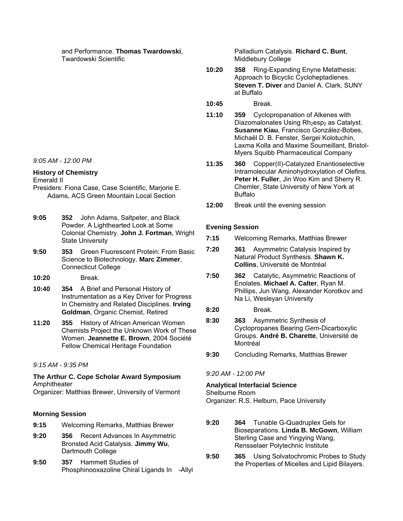and Performance. **Thomas Twardowski**, Twardowski Scientific

*9:05 AM - 12:00 PM* 

#### **History of Chemistry**  Emerald II

- Presiders: Fiona Case, Case Scientific, Marjorie E. Adams, ACS Green Mountain Local Section
- **9:05 352** John Adams, Saltpeter, and Black Powder. A Lighthearted Look at Some Colonial Chemistry. **John J. Fortman**, Wright State University
- **9:50 353** Green Fluorescent Protein: From Basic Science to Biotechnology. **Marc Zimmer**, Connecticut College
- **10:20** Break.
- **10:40 354** A Brief and Personal History of Instrumentation as a Key Driver for Progress In Chemistry and Related Disciplines. **Irving Goldman**, Organic Chemist, Retired
- **11:20 355** History of African American Women Chemists Project the Unknown Work of These Women. **Jeannette E. Brown**, 2004 Société Fellow Chemical Heritage Foundation

# *9:15 AM - 9:35 PM*

**The Arthur C. Cope Scholar Award Symposium**  Amphitheater

Organizer: Matthias Brewer, University of Vermont

# **Morning Session**

- **9:15** Welcoming Remarks, Matthias Brewer
- **9:20 356** Recent Advances In Asymmetric Bronsted Acid Catalysis. **Jimmy Wu**, Dartmouth College
- **9:50 357** Hammett Studies of Phosphinooxazoline Chiral Ligands In -Allyl

Palladium Catalysis. **Richard C. Bunt**, Middlebury College

- **10:20 358** Ring-Expanding Enyne Metathesis: Approach to Bicyclic Cycloheptadienes. **Steven T. Diver** and Daniel A. Clark, SUNY at Buffalo
- **10:45** Break.
- **11:10 359** Cyclopropanation of Alkenes with Diazomalonates Using Rh<sub>2</sub>esp<sub>2</sub> as Catalyst. **Susanne Kiau**, Francisco González-Bobes, Michaël D. B. Fenster, Sergei Kolotuchin, Laxma Kolla and Maxime Soumeillant, Bristol-Myers Squibb Pharmaceutical Company
- **11:35 360** Copper(II)-Catalyzed Enantioselective Intramolecular Aminohydroxylation of Olefins. **Peter H. Fuller**, Jin Woo Kim and Sherry R. Chemler, State University of New York at Buffalo
- **12:00** Break until the evening session

# **Evening Session**

- **7:15** Welcoming Remarks, Matthias Brewer
- **7:20 361** Asymmetric Catalysis Inspired by Natural Product Synthesis. **Shawn K. Collins**, Université de Montréal
- **7:50 362** Catalytic, Asymmetric Reactions of Enolates. **Michael A. Calter**, Ryan M. Phillips, Jun Wang, Alexander Korotkov and Na Li, Wesleyan University
- **8:20** Break.
- **8:30 363** Asymmetric Synthesis of Cyclopropanes Bearing *Gem*-Dicarboxylic Groups. **André B. Charette**, Université de Montréal
- **9:30** Concluding Remarks, Matthias Brewer

# *9:20 AM - 12:00 PM*

## **Analytical Interfacial Science**  Shelburne Room

Organizer: R.S. Helburn, Pace University

- **9:20 364** Tunable G-Quadruplex Gels for Bioseparations. **Linda B. McGown**, William Sterling Case and Yingying Wang, Rensselaer Polytechnic Institute
- **9:50 365** Using Solvatochromic Probes to Study the Properties of Micelles and Lipid Bilayers.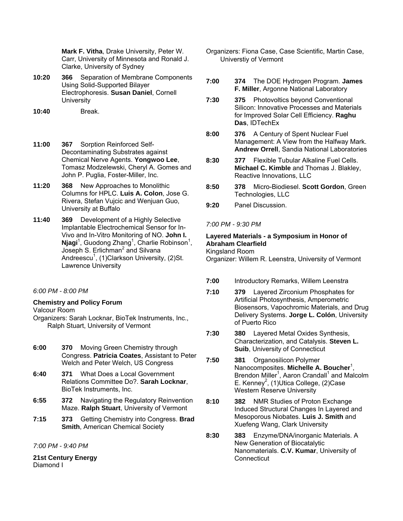**Mark F. Vitha**, Drake University, Peter W. Carr, University of Minnesota and Ronald J. Clarke, University of Sydney

- **10:20 366** Separation of Membrane Components Using Solid-Supported Bilayer Electrophoresis. **Susan Daniel**, Cornell **University**
- **10:40** Break.
- **11:00 367** Sorption Reinforced Self-Decontaminating Substrates against Chemical Nerve Agents. **Yongwoo Lee**, Tomasz Modzelewski, Cheryl A. Gomes and John P. Puglia, Foster-Miller, Inc.
- **11:20 368** New Approaches to Monolithic Columns for HPLC. **Luis A. Colon**, Jose G. Rivera, Stefan Vujcic and Wenjuan Guo, University at Buffalo
- **11:40 369** Development of a Highly Selective Implantable Electrochemical Sensor for In-Vivo and In-Vitro Monitoring of NO. **John I.**  Njagi<sup>1</sup>, Guodong Zhang<sup>1</sup>, Charlie Robinson<sup>1</sup>, Joseph S. Erlichman<sup>2</sup> and Silvana Andreescu<sup>1</sup>, (1)Clarkson University, (2)St. Lawrence University

## *6:00 PM - 8:00 PM*

# **Chemistry and Policy Forum**

Valcour Room

- Organizers: Sarah Locknar, BioTek Instruments, Inc., Ralph Stuart, University of Vermont
- **6:00 370** Moving Green Chemistry through Congress. **Patricia Coates**, Assistant to Peter Welch and Peter Welch, US Congress
- **6:40 371** What Does a Local Government Relations Committee Do?. **Sarah Locknar**, BioTek Instruments, Inc.
- **6:55 372** Navigating the Regulatory Reinvention Maze. **Ralph Stuart**, University of Vermont
- **7:15 373** Getting Chemistry into Congress. **Brad Smith**, American Chemical Society

*7:00 PM - 9:40 PM* 

**21st Century Energy**  Diamond I

- Organizers: Fiona Case, Case Scientific, Martin Case, Universtiy of Vermont
- **7:00 374** The DOE Hydrogen Program. **James F. Miller**, Argonne National Laboratory
- **7:30 375** Photovoltics beyond Conventional Silicon: Innovative Processes and Materials for Improved Solar Cell Efficiency. **Raghu Das**, IDTechEx
- **8:00 376** A Century of Spent Nuclear Fuel Management: A View from the Halfway Mark. **Andrew Orrell**, Sandia National Laboratories
- **8:30 377** Flexible Tubular Alkaline Fuel Cells. **Michael C. Kimble** and Thomas J. Blakley, Reactive Innovations, LLC
- **8:50 378** Micro-Biodiesel. **Scott Gordon**, Green Technologies, LLC
- **9:20** Panel Discussion.
- *7:00 PM 9:30 PM*

# **Layered Materials - a Symposium in Honor of Abraham Clearfield**

Kingsland Room Organizer: Willem R. Leenstra, University of Vermont

- **7:00** Introductory Remarks, Willem Leenstra
- **7:10 379** Layered Zirconium Phosphates for Artificial Photosynthesis, Amperometric Biosensors, Vapochromic Materials, and Drug Delivery Systems. **Jorge L. Colón**, University of Puerto Rico
- **7:30 380** Layered Metal Oxides Synthesis, Characterization, and Catalysis. **Steven L. Suib**, University of Connecticut
- **7:50 381** Organosilicon Polymer Nanocomposites. Michelle A. Boucher<sup>1</sup>, Brendon Miller<sup>1</sup>, Aaron Crandall<sup>1</sup> and Malcolm E. Kenney<sup>2</sup>, (1)Utica College, (2)Case Western Reserve University
- **8:10 382** NMR Studies of Proton Exchange Induced Structural Changes In Layered and Mesoporous Niobates. **Luis J. Smith** and Xuefeng Wang, Clark University
- **8:30 383** Enzyme/DNA/inorganic Materials. A New Generation of Biocatalytic Nanomaterials. **C.V. Kumar**, University of **Connecticut**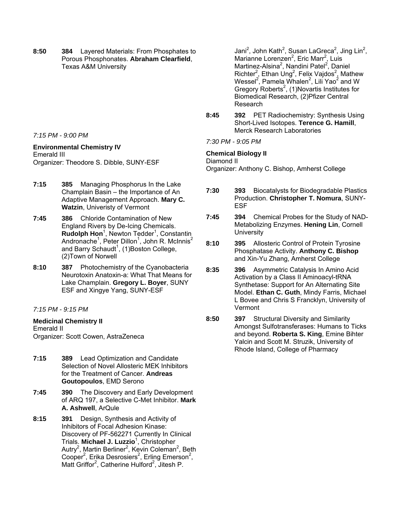**8:50 384** Layered Materials: From Phosphates to Porous Phosphonates. **Abraham Clearfield**, Texas A&M University

*7:15 PM - 9:00 PM* 

## **Environmental Chemistry IV**

Emerald III Organizer: Theodore S. Dibble, SUNY-ESF

- **7:15 385** Managing Phosphorus In the Lake Champlain Basin – the Importance of An Adaptive Management Approach. **Mary C. Watzin**, Univeristy of Vermont
- **7:45 386** Chloride Contamination of New England Rivers by De-Icing Chemicals. Rudolph Hon<sup>1</sup>, Newton Tedder<sup>1</sup>, Constantin Andronache<sup>1</sup>, Peter Dillon<sup>1</sup>, John R. McInnis<sup>2</sup> and Barry Schaudt<sup>1</sup>, (1)Boston College, (2)Town of Norwell
- **8:10 387** Photochemistry of the Cyanobacteria Neurotoxin Anatoxin-a: What That Means for Lake Champlain. **Gregory L. Boyer**, SUNY ESF and Xingye Yang, SUNY-ESF

*7:15 PM - 9:15 PM* 

# **Medicinal Chemistry II**

Emerald II Organizer: Scott Cowen, AstraZeneca

- **7:15 389** Lead Optimization and Candidate Selection of Novel Allosteric MEK Inhibitors for the Treatment of Cancer. **Andreas Goutopoulos**, EMD Serono
- **7:45 390** The Discovery and Early Development of ARQ 197, a Selective C-Met Inhibitor. **Mark A. Ashwell**, ArQule
- **8:15 391** Design, Synthesis and Activity of Inhibitors of Focal Adhesion Kinase: Discovery of PF-562271 Currently In Clinical Trials. **Michael J. Luzzio**<sup>1</sup> , Christopher Autry<sup>2</sup>, Martin Berliner<sup>2</sup>, Kevin Coleman<sup>2</sup>, Beth Cooper<sup>2</sup>, Erika Desrosiers<sup>2</sup>, Erling Emerson<sup>2</sup>, Matt Griffor<sup>2</sup>, Catherine Hulford<sup>2</sup>, Jitesh P.

Jani<sup>2</sup>, John Kath<sup>2</sup>, Susan LaGreca<sup>2</sup>, Jing Lin<sup>2</sup>, Marianne Lorenzen<sup>2</sup>, Eric Marr<sup>2</sup>, Luis Martinez-Alsina<sup>2</sup>, Nandini Patel<sup>2</sup>, Daniel Richter<sup>2</sup>, Ethan Ung<sup>2</sup>, Felix Vajdos<sup>2</sup>, Mathew Wessel<sup>2</sup>, Pamela Whalen<sup>2</sup>, Lili Yao<sup>2</sup> and W Gregory Roberts<sup>2</sup>, (1)Novartis Institutes for Biomedical Research, (2)Pfizer Central Research

- **8:45 392** PET Radiochemistry: Synthesis Using Short-Lived Isotopes. **Terence G. Hamill**, Merck Research Laboratories
- *7:30 PM 9:05 PM*

## **Chemical Biology II**

Diamond II

Organizer: Anthony C. Bishop, Amherst College

- **7:30 393** Biocatalysts for Biodegradable Plastics Production. **Christopher T. Nomura**, SUNY-ESF
- **7:45 394** Chemical Probes for the Study of NAD-Metabolizing Enzymes. **Hening Lin**, Cornell **University**
- **8:10 395** Allosteric Control of Protein Tyrosine Phosphatase Activity. **Anthony C. Bishop** and Xin-Yu Zhang, Amherst College
- **8:35 396** Asymmetric Catalysis In Amino Acid Activation by a Class II Aminoacyl-tRNA Synthetase: Support for An Alternating Site Model. **Ethan C. Guth**, Mindy Farris, Michael L Bovee and Chris S Francklyn, University of Vermont
- **8:50 397** Structural Diversity and Similarity Amongst Sulfotransferases: Humans to Ticks and beyond. **Roberta S. King**, Emine Bihter Yalcin and Scott M. Struzik, University of Rhode Island, College of Pharmacy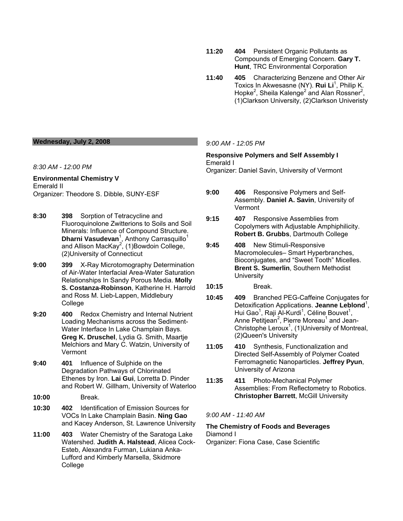- **11:20 404** Persistent Organic Pollutants as Compounds of Emerging Concern. **Gary T. Hunt**, TRC Environmental Corporation
- **11:40 405** Characterizing Benzene and Other Air Toxics In Akwesasne (NY). **Rui Li**<sup>1</sup> , Philip K. Hopke<sup>2</sup>, Sheila Kalenge<sup>2</sup> and Alan Rossner<sup>2</sup>, (1)Clarkson University, (2)Clarkson Univeristy

#### **Wednesday, July 2, 2008**

*8:30 AM - 12:00 PM* 

#### **Environmental Chemistry V**  Emerald II Organizer: Theodore S. Dibble, SUNY-ESF

- **8:30 398** Sorption of Tetracycline and Fluoroquinolone Zwitterions to Soils and Soil Minerals: Influence of Compound Structure. Dharni Vasudevan<sup>1</sup>, Anthony Carrasquillo<sup>1</sup> and Allison MacKay<sup>2</sup>, (1) Bowdoin College, (2)University of Connecticut
- **9:00 399** X-Ray Microtomography Determination of Air-Water Interfacial Area-Water Saturation Relationships In Sandy Porous Media. **Molly S. Costanza-Robinson**, Katherine H. Harrold and Ross M. Lieb-Lappen, Middlebury College
- **9:20 400** Redox Chemistry and Internal Nutrient Loading Mechanisms across the Sediment-Water Interface In Lake Champlain Bays. **Greg K. Druschel**, Lydia G. Smith, Maartje Melchiors and Mary C. Watzin, University of Vermont
- **9:40 401** Influence of Sulphide on the Degradation Pathways of Chlorinated Ethenes by Iron. **Lai Gui**, Lorretta D. Pinder and Robert W. Gillham, University of Waterloo
- **10:00** Break.
- **10:30 402** Identification of Emission Sources for VOCs In Lake Champlain Basin. **Ning Gao** and Kacey Anderson, St. Lawrence University
- **11:00 403** Water Chemistry of the Saratoga Lake Watershed. **Judith A. Halstead**, Alicea Cock-Esteb, Alexandra Furman, Lukiana Anka-Lufford and Kimberly Marsella, Skidmore College

#### *9:00 AM - 12:05 PM*

#### **Responsive Polymers and Self Assembly I**  Emerald I Organizer: Daniel Savin, University of Vermont

- **9:00 406** Responsive Polymers and Self-Assembly. **Daniel A. Savin**, University of Vermont
- **9:15 407** Responsive Assemblies from Copolymers with Adjustable Amphiphilicity. **Robert B. Grubbs**, Dartmouth College
- **9:45 408** New Stimuli-Responsive Macromolecules– Smart Hyperbranches, Bioconjugates, and "Sweet Tooth" Micelles. **Brent S. Sumerlin**, Southern Methodist **University**
- **10:15** Break.
- **10:45 409** Branched PEG-Caffeine Conjugates for Detoxification Applications. Jeanne Leblond<sup>1</sup>, Hui Gao<sup>1</sup>, Raji Al-Kurdi<sup>1</sup>, Céline Bouvet<sup>1</sup>, Anne Petitjean<sup>2</sup>, Pierre Moreau<sup>1</sup> and Jean-Christophe Leroux<sup>1</sup>, (1) University of Montreal, (2)Queen's University
- **11:05 410** Synthesis, Functionalization and Directed Self-Assembly of Polymer Coated Ferromagnetic Nanoparticles. **Jeffrey Pyun**, University of Arizona
- **11:35 411** Photo-Mechanical Polymer Assemblies: From Reflectometry to Robotics. **Christopher Barrett**, McGill University

*9:00 AM - 11:40 AM* 

# **The Chemistry of Foods and Beverages**

Diamond I

Organizer: Fiona Case, Case Scientific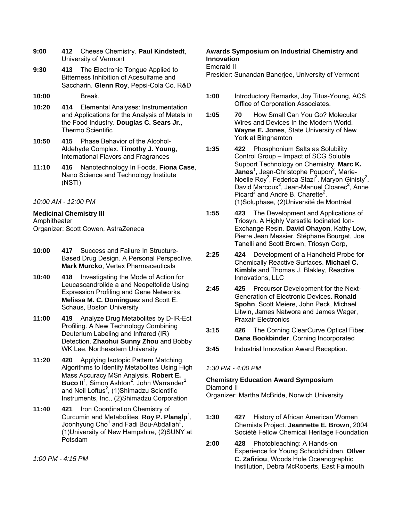- **9:00 412** Cheese Chemistry. **Paul Kindstedt**, University of Vermont
- **9:30 413** The Electronic Tongue Applied to Bitterness Inhibition of Acesulfame and Saccharin. **Glenn Roy**, Pepsi-Cola Co. R&D
- **10:00** Break.
- **10:20 414** Elemental Analyses: Instrumentation and Applications for the Analysis of Metals In the Food Industry. **Douglas C. Sears Jr.**, Thermo Scientific
- **10:50 415** Phase Behavior of the Alcohol-Aldehyde Complex. **Timothy J. Young**, International Flavors and Fragrances
- **11:10 416** Nanotechnology In Foods. **Fiona Case**, Nano Science and Technology Institute (NSTI)
- *10:00 AM 12:00 PM*

**Medicinal Chemistry III**  Amphitheater Organizer: Scott Cowen, AstraZeneca

- **10:00 417** Success and Failure In Structure-Based Drug Design. A Personal Perspective. **Mark Murcko**, Vertex Pharmaceuticals
- **10:40 418** Investigating the Mode of Action for Leucascandrolide a and Neopeltolide Using Expression Profiling and Gene Networks. **Melissa M. C. Dominguez** and Scott E. Schaus, Boston University
- **11:00 419** Analyze Drug Metabolites by D-IR-Ect Profiling. A New Technology Combining Deuterium Labeling and Infrared (IR) Detection. **Zhaohui Sunny Zhou** and Bobby WK Lee, Northeastern University
- **11:20 420** Applying Isotopic Pattern Matching Algorithms to Identify Metabolites Using High Mass Accuracy MSn Analysis. **Robert E.**  Buco II<sup>1</sup>, Simon Ashton<sup>2</sup>, John Warrander<sup>2</sup> and Neil Loftus<sup>2</sup>, (1)Shimadzu Scientific Instruments, Inc., (2)Shimadzu Corporation
- **11:40 421** Iron Coordination Chemistry of Curcumin and Metabolites. **Roy P. Planalp**<sup>1</sup>, Joonhyung Cho<sup>1</sup> and Fadi Bou-Abdallah<sup>2</sup>, (1)University of New Hampshire, (2)SUNY at Potsdam

*1:00 PM - 4:15 PM* 

# **Awards Symposium on Industrial Chemistry and Innovation**

Emerald II

Presider: Sunandan Banerjee, University of Vermont

- **1:00** Introductory Remarks, Joy Titus-Young, ACS Office of Corporation Associates.
- **1:05 70** How Small Can You Go? Molecular Wires and Devices In the Modern World. **Wayne E. Jones**, State University of New York at Binghamton
- **1:35 422** Phosphonium Salts as Solubility Control Group – Impact of SCG Soluble Support Technology on Chemistry. **Marc K.**  Janes<sup>1</sup>, Jean-Christophe Poupon<sup>2</sup>, Marie-Noelle Roy<sup>2</sup>, Federica Stazi<sup>2</sup>, Maryon Ginisty<sup>2</sup>, David Marcoux<sup>2</sup>, Jean-Manuel Cloarec<sup>2</sup>, Anne Picard<sup>2</sup> and André B. Charette<sup>2</sup>, (1)Soluphase, (2)Université de Montréal
- **1:55 423** The Development and Applications of Triosyn. A Highly Versatile Iodinated Ion-Exchange Resin. **David Ohayon**, Kathy Low, Pierre Jean Messier, Stéphane Bourget, Joe Tanelli and Scott Brown, Triosyn Corp,
- **2:25 424** Development of a Handheld Probe for Chemically Reactive Surfaces. **Michael C. Kimble** and Thomas J. Blakley, Reactive Innovations, LLC
- **2:45 425** Precursor Development for the Next-Generation of Electronic Devices. **Ronald Spohn**, Scott Meiere, John Peck, Michael Litwin, James Natwora and James Wager, Praxair Electronics
- **3:15 426** The Corning ClearCurve Optical Fiber. **Dana Bookbinder**, Corning Incorporated
- **3:45** Industrial Innovation Award Reception.

# *1:30 PM - 4:00 PM*

## **Chemistry Education Award Symposium**  Diamond II

Organizer: Martha McBride, Norwich University

- **1:30 427** History of African American Women Chemists Project. **Jeannette E. Brown**, 2004 Société Fellow Chemical Heritage Foundation
- **2:00 428** Photobleaching: A Hands-on Experience for Young Schoolchildren. **OIlver C. Zafiriou**, Woods Hole Oceanographic Institution, Debra McRoberts, East Falmouth